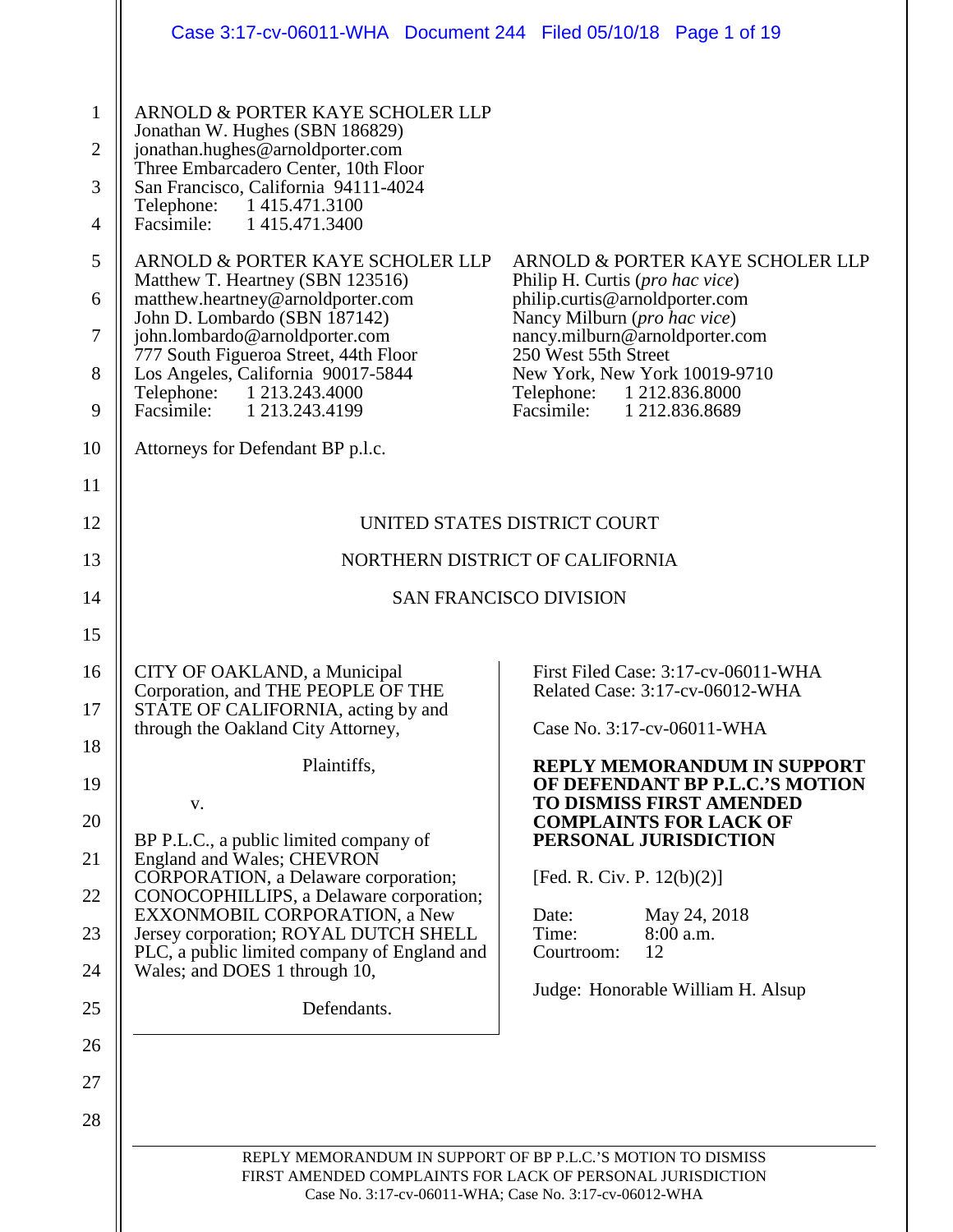|                                                                                    | Case 3:17-cv-06011-WHA  Document 244  Filed 05/10/18  Page 1 of 19                                                                                                                                                                                                                                                                                                                                                                                                                                                                                                                                             |                                                                                                                                                                                                                                                                                            |  |  |  |  |
|------------------------------------------------------------------------------------|----------------------------------------------------------------------------------------------------------------------------------------------------------------------------------------------------------------------------------------------------------------------------------------------------------------------------------------------------------------------------------------------------------------------------------------------------------------------------------------------------------------------------------------------------------------------------------------------------------------|--------------------------------------------------------------------------------------------------------------------------------------------------------------------------------------------------------------------------------------------------------------------------------------------|--|--|--|--|
| $\mathbf{1}$<br>$\overline{2}$<br>3<br>4<br>5<br>6<br>$\tau$<br>8<br>9<br>10<br>11 | ARNOLD & PORTER KAYE SCHOLER LLP<br>Jonathan W. Hughes (SBN 186829)<br>jonathan.hughes@arnoldporter.com<br>Three Embarcadero Center, 10th Floor<br>San Francisco, California 94111-4024<br>Telephone: 1415.471.3100<br>Facsimile: 1 415.471.3400<br>ARNOLD & PORTER KAYE SCHOLER LLP<br>Matthew T. Heartney (SBN 123516)<br>matthew.heartney@arnoldporter.com<br>John D. Lombardo (SBN 187142)<br>john.lombardo@arnoldporter.com<br>777 South Figueroa Street, 44th Floor<br>Los Angeles, California 90017-5844<br>Telephone: 1 213.243.4000<br>Facsimile: 1 213.243.4199<br>Attorneys for Defendant BP p.l.c. | ARNOLD & PORTER KAYE SCHOLER LLP<br>Philip H. Curtis (pro hac vice)<br>philip.curtis@arnoldporter.com<br>Nancy Milburn (pro hac vice)<br>nancy.milburn@arnoldporter.com<br>250 West 55th Street<br>New York, New York 10019-9710<br>Telephone: 1 212.836.8000<br>Facsimile: 1 212.836.8689 |  |  |  |  |
| 12                                                                                 |                                                                                                                                                                                                                                                                                                                                                                                                                                                                                                                                                                                                                | UNITED STATES DISTRICT COURT                                                                                                                                                                                                                                                               |  |  |  |  |
| 13                                                                                 |                                                                                                                                                                                                                                                                                                                                                                                                                                                                                                                                                                                                                | NORTHERN DISTRICT OF CALIFORNIA                                                                                                                                                                                                                                                            |  |  |  |  |
| 14                                                                                 |                                                                                                                                                                                                                                                                                                                                                                                                                                                                                                                                                                                                                | <b>SAN FRANCISCO DIVISION</b>                                                                                                                                                                                                                                                              |  |  |  |  |
| 15                                                                                 |                                                                                                                                                                                                                                                                                                                                                                                                                                                                                                                                                                                                                |                                                                                                                                                                                                                                                                                            |  |  |  |  |
| 16<br>17                                                                           | CITY OF OAKLAND, a Municipal<br>Corporation, and THE PEOPLE OF THE<br>STATE OF CALIFORNIA, acting by and<br>through the Oakland City Attorney,                                                                                                                                                                                                                                                                                                                                                                                                                                                                 | First Filed Case: 3:17-cv-06011-WHA<br>Related Case: 3:17-cv-06012-WHA<br>Case No. 3:17-cv-06011-WHA                                                                                                                                                                                       |  |  |  |  |
| 18                                                                                 | Plaintiffs,                                                                                                                                                                                                                                                                                                                                                                                                                                                                                                                                                                                                    | <b>REPLY MEMORANDUM IN SUPPORT</b>                                                                                                                                                                                                                                                         |  |  |  |  |
| 19                                                                                 | V.                                                                                                                                                                                                                                                                                                                                                                                                                                                                                                                                                                                                             | OF DEFENDANT BP P.L.C.'S MOTION<br><b>TO DISMISS FIRST AMENDED</b>                                                                                                                                                                                                                         |  |  |  |  |
| 20                                                                                 | BP P.L.C., a public limited company of                                                                                                                                                                                                                                                                                                                                                                                                                                                                                                                                                                         | <b>COMPLAINTS FOR LACK OF</b><br>PERSONAL JURISDICTION                                                                                                                                                                                                                                     |  |  |  |  |
| 21                                                                                 | England and Wales; CHEVRON<br>CORPORATION, a Delaware corporation;                                                                                                                                                                                                                                                                                                                                                                                                                                                                                                                                             | [Fed. R. Civ. P. $12(b)(2)$ ]                                                                                                                                                                                                                                                              |  |  |  |  |
| 22                                                                                 | CONOCOPHILLIPS, a Delaware corporation;<br>EXXONMOBIL CORPORATION, a New                                                                                                                                                                                                                                                                                                                                                                                                                                                                                                                                       | Date:<br>May 24, 2018                                                                                                                                                                                                                                                                      |  |  |  |  |
| 23                                                                                 | Jersey corporation; ROYAL DUTCH SHELL<br>PLC, a public limited company of England and                                                                                                                                                                                                                                                                                                                                                                                                                                                                                                                          | Time:<br>8:00 a.m.<br>12<br>Courtroom:                                                                                                                                                                                                                                                     |  |  |  |  |
| 24                                                                                 | Wales; and DOES 1 through 10,                                                                                                                                                                                                                                                                                                                                                                                                                                                                                                                                                                                  | Judge: Honorable William H. Alsup                                                                                                                                                                                                                                                          |  |  |  |  |
| 25                                                                                 | Defendants.                                                                                                                                                                                                                                                                                                                                                                                                                                                                                                                                                                                                    |                                                                                                                                                                                                                                                                                            |  |  |  |  |
| 26                                                                                 |                                                                                                                                                                                                                                                                                                                                                                                                                                                                                                                                                                                                                |                                                                                                                                                                                                                                                                                            |  |  |  |  |
| 27                                                                                 |                                                                                                                                                                                                                                                                                                                                                                                                                                                                                                                                                                                                                |                                                                                                                                                                                                                                                                                            |  |  |  |  |
| 28                                                                                 |                                                                                                                                                                                                                                                                                                                                                                                                                                                                                                                                                                                                                |                                                                                                                                                                                                                                                                                            |  |  |  |  |
|                                                                                    | REPLY MEMORANDUM IN SUPPORT OF BP P.L.C.'S MOTION TO DISMISS<br>FIRST AMENDED COMPLAINTS FOR LACK OF PERSONAL JURISDICTION<br>Case No. 3:17-cv-06011-WHA; Case No. 3:17-cv-06012-WHA                                                                                                                                                                                                                                                                                                                                                                                                                           |                                                                                                                                                                                                                                                                                            |  |  |  |  |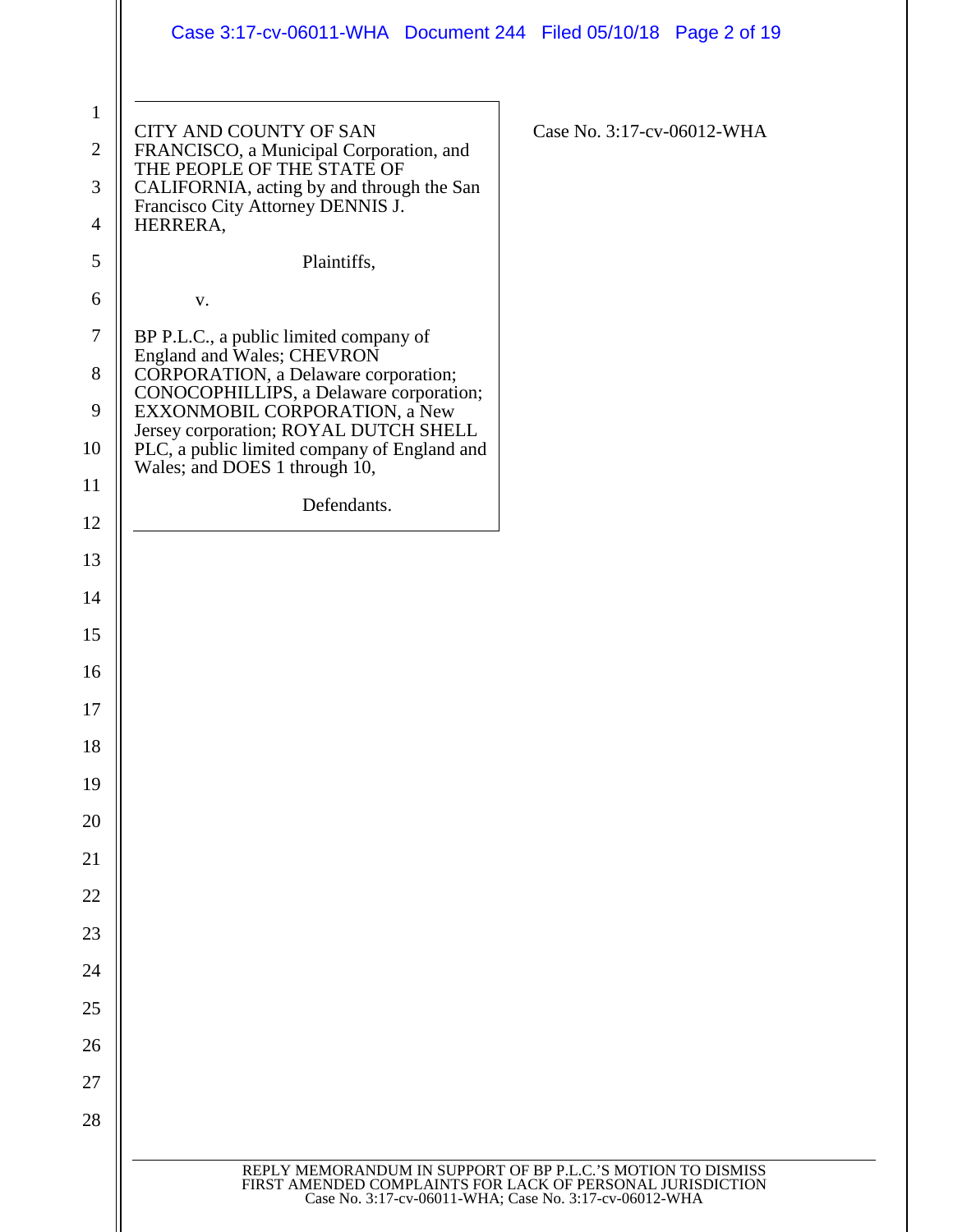|                                | Case 3:17-cv-06011-WHA  Document 244  Filed 05/10/18  Page 2 of 19                                                                                                                   |
|--------------------------------|--------------------------------------------------------------------------------------------------------------------------------------------------------------------------------------|
| $\mathbf{1}$<br>$\mathfrak{2}$ | CITY AND COUNTY OF SAN<br>Case No. 3:17-cv-06012-WHA<br>FRANCISCO, a Municipal Corporation, and                                                                                      |
| 3                              | THE PEOPLE OF THE STATE OF<br>CALIFORNIA, acting by and through the San                                                                                                              |
| 4                              | Francisco City Attorney DENNIS J.<br>HERRERA,                                                                                                                                        |
| 5                              | Plaintiffs,                                                                                                                                                                          |
| 6                              | V.                                                                                                                                                                                   |
| $\boldsymbol{7}$               | BP P.L.C., a public limited company of                                                                                                                                               |
| 8                              | England and Wales; CHEVRON<br>CORPORATION, a Delaware corporation;                                                                                                                   |
| 9                              | CONOCOPHILLIPS, a Delaware corporation;<br>EXXONMOBIL CORPORATION, a New                                                                                                             |
| 10                             | Jersey corporation; ROYAL DUTCH SHELL<br>PLC, a public limited company of England and                                                                                                |
| 11                             | Wales; and DOES 1 through 10,                                                                                                                                                        |
| 12                             | Defendants.                                                                                                                                                                          |
| 13                             |                                                                                                                                                                                      |
| 14                             |                                                                                                                                                                                      |
| 15                             |                                                                                                                                                                                      |
| 16                             |                                                                                                                                                                                      |
| 17                             |                                                                                                                                                                                      |
| 18                             |                                                                                                                                                                                      |
| 19                             |                                                                                                                                                                                      |
| 20                             |                                                                                                                                                                                      |
| 21                             |                                                                                                                                                                                      |
| 22                             |                                                                                                                                                                                      |
| 23                             |                                                                                                                                                                                      |
| 24                             |                                                                                                                                                                                      |
| 25                             |                                                                                                                                                                                      |
| 26                             |                                                                                                                                                                                      |
| 27                             |                                                                                                                                                                                      |
| 28                             |                                                                                                                                                                                      |
|                                | REPLY MEMORANDUM IN SUPPORT OF BP P.L.C.'S MOTION TO DISMISS<br>FIRST AMENDED COMPLAINTS FOR LACK OF PERSONAL JURISDICTION<br>Case No. 3:17-cv-06011-WHA; Case No. 3:17-cv-06012-WHA |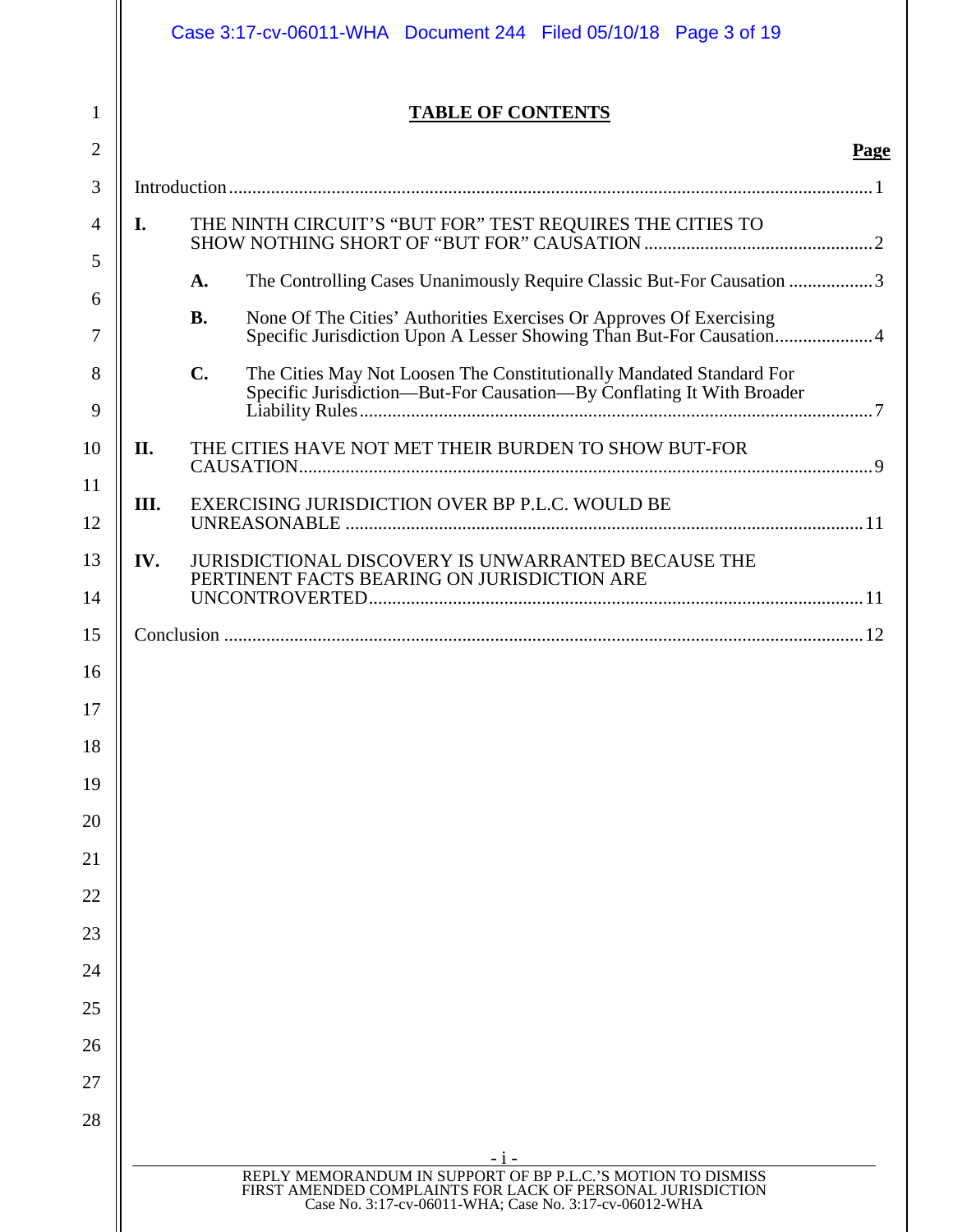|          |                                                                             | Case 3:17-cv-06011-WHA Document 244 Filed 05/10/18 Page 3 of 19                                                                                                                      |             |  |  |
|----------|-----------------------------------------------------------------------------|--------------------------------------------------------------------------------------------------------------------------------------------------------------------------------------|-------------|--|--|
| 1        |                                                                             | <b>TABLE OF CONTENTS</b>                                                                                                                                                             |             |  |  |
| 2        |                                                                             |                                                                                                                                                                                      | <b>Page</b> |  |  |
| 3        |                                                                             |                                                                                                                                                                                      |             |  |  |
| 4        | I.                                                                          | THE NINTH CIRCUIT'S "BUT FOR" TEST REQUIRES THE CITIES TO                                                                                                                            |             |  |  |
| 5        | The Controlling Cases Unanimously Require Classic But-For Causation 3<br>A. |                                                                                                                                                                                      |             |  |  |
| 6<br>7   |                                                                             | None Of The Cities' Authorities Exercises Or Approves Of Exercising<br><b>B.</b><br>Specific Jurisdiction Upon A Lesser Showing Than But-For Causation 4                             |             |  |  |
| 8        |                                                                             | $\mathbf{C}$ .<br>The Cities May Not Loosen The Constitutionally Mandated Standard For                                                                                               |             |  |  |
| 9        |                                                                             | Specific Jurisdiction-But-For Causation-By Conflating It With Broader                                                                                                                |             |  |  |
| 10       | II.                                                                         | THE CITIES HAVE NOT MET THEIR BURDEN TO SHOW BUT-FOR                                                                                                                                 |             |  |  |
| 11<br>12 | III.                                                                        | EXERCISING JURISDICTION OVER BP P.L.C. WOULD BE                                                                                                                                      |             |  |  |
| 13       | IV.                                                                         | <b>JURISDICTIONAL DISCOVERY IS UNWARRANTED BECAUSE THE</b>                                                                                                                           |             |  |  |
| 14       |                                                                             | PERTINENT FACTS BEARING ON JURISDICTION ARE                                                                                                                                          |             |  |  |
| 15       |                                                                             |                                                                                                                                                                                      |             |  |  |
| 16       |                                                                             |                                                                                                                                                                                      |             |  |  |
| 17       |                                                                             |                                                                                                                                                                                      |             |  |  |
| 18       |                                                                             |                                                                                                                                                                                      |             |  |  |
| 19       |                                                                             |                                                                                                                                                                                      |             |  |  |
| 20       |                                                                             |                                                                                                                                                                                      |             |  |  |
| 21       |                                                                             |                                                                                                                                                                                      |             |  |  |
| 22       |                                                                             |                                                                                                                                                                                      |             |  |  |
| 23       |                                                                             |                                                                                                                                                                                      |             |  |  |
| 24       |                                                                             |                                                                                                                                                                                      |             |  |  |
| 25       |                                                                             |                                                                                                                                                                                      |             |  |  |
| 26<br>27 |                                                                             |                                                                                                                                                                                      |             |  |  |
| 28       |                                                                             |                                                                                                                                                                                      |             |  |  |
|          |                                                                             | - 1 -                                                                                                                                                                                |             |  |  |
|          |                                                                             | REPLY MEMORANDUM IN SUPPORT OF BP P.L.C.'S MOTION TO DISMISS<br>FIRST AMENDED COMPLAINTS FOR LACK OF PERSONAL JURISDICTION<br>Case No. 3:17-cv-06011-WHA; Case No. 3:17-cv-06012-WHA |             |  |  |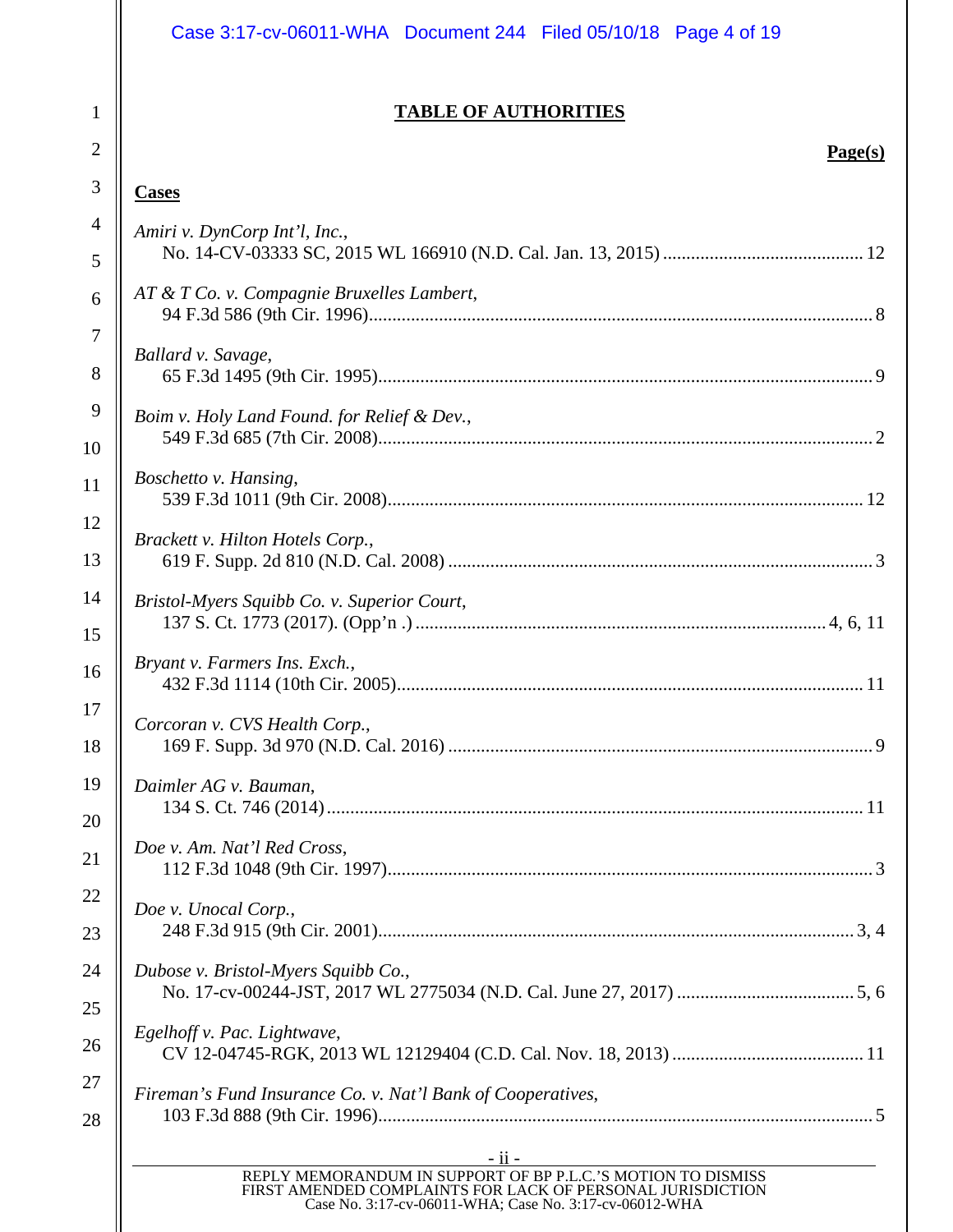|                     | Case 3:17-cv-06011-WHA  Document 244  Filed 05/10/18  Page 4 of 19                                                                                                                              |
|---------------------|-------------------------------------------------------------------------------------------------------------------------------------------------------------------------------------------------|
|                     | <b>TABLE OF AUTHORITIES</b>                                                                                                                                                                     |
| $\overline{2}$<br>3 | Page(s)                                                                                                                                                                                         |
|                     | <b>Cases</b>                                                                                                                                                                                    |
|                     | Amiri v. DynCorp Int'l, Inc.,                                                                                                                                                                   |
|                     | AT & T Co. v. Compagnie Bruxelles Lambert,                                                                                                                                                      |
|                     | Ballard v. Savage,                                                                                                                                                                              |
|                     | Boim v. Holy Land Found. for Relief & Dev.,                                                                                                                                                     |
|                     | Boschetto v. Hansing,                                                                                                                                                                           |
|                     | Brackett v. Hilton Hotels Corp.,                                                                                                                                                                |
|                     | Bristol-Myers Squibb Co. v. Superior Court,                                                                                                                                                     |
|                     | Bryant v. Farmers Ins. Exch.,                                                                                                                                                                   |
|                     | Corcoran v. CVS Health Corp.,                                                                                                                                                                   |
|                     | Daimler AG v. Bauman,                                                                                                                                                                           |
|                     | Doe v. Am. Nat'l Red Cross,                                                                                                                                                                     |
|                     | Doe v. Unocal Corp.,                                                                                                                                                                            |
|                     | Dubose v. Bristol-Myers Squibb Co.,                                                                                                                                                             |
|                     | Egelhoff v. Pac. Lightwave,                                                                                                                                                                     |
|                     | Fireman's Fund Insurance Co. v. Nat'l Bank of Cooperatives,                                                                                                                                     |
|                     | $-ii -$<br>REPLY MEMORANDUM IN SUPPORT OF BP P.L.C.'S MOTION TO DISMISS<br>FIRST AMENDED COMPLAINTS FOR LACK OF PERSONAL JURISDICTION<br>Case No. 3:17-cv-06011-WHA; Case No. 3:17-cv-06012-WHA |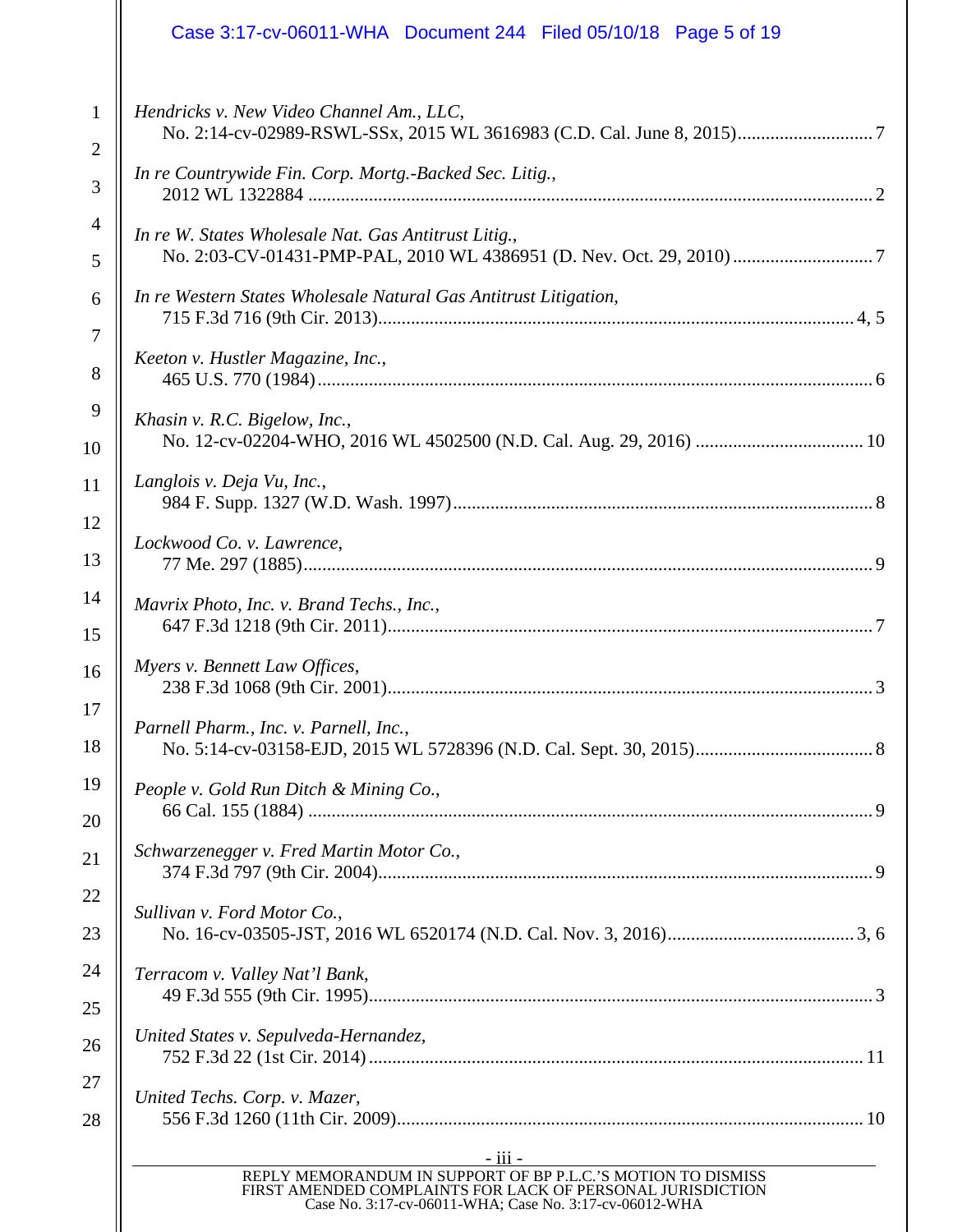|                | Case 3:17-cv-06011-WHA Document 244 Filed 05/10/18 Page 5 of 19                                                                                                                                        |  |  |  |
|----------------|--------------------------------------------------------------------------------------------------------------------------------------------------------------------------------------------------------|--|--|--|
| $\mathbf{1}$   | Hendricks v. New Video Channel Am., LLC,                                                                                                                                                               |  |  |  |
| $\overline{2}$ |                                                                                                                                                                                                        |  |  |  |
| 3              | In re Countrywide Fin. Corp. Mortg.-Backed Sec. Litig.,                                                                                                                                                |  |  |  |
| $\overline{4}$ | In re W. States Wholesale Nat. Gas Antitrust Litig.,                                                                                                                                                   |  |  |  |
| 5              |                                                                                                                                                                                                        |  |  |  |
| 6              | In re Western States Wholesale Natural Gas Antitrust Litigation,                                                                                                                                       |  |  |  |
| $\overline{7}$ |                                                                                                                                                                                                        |  |  |  |
| 8              | Keeton v. Hustler Magazine, Inc.,                                                                                                                                                                      |  |  |  |
| 9              | Khasin v. R.C. Bigelow, Inc.,                                                                                                                                                                          |  |  |  |
| 10             |                                                                                                                                                                                                        |  |  |  |
| 11             | Langlois v. Deja Vu, Inc.,                                                                                                                                                                             |  |  |  |
| 12             | Lockwood Co. v. Lawrence,                                                                                                                                                                              |  |  |  |
| 13             |                                                                                                                                                                                                        |  |  |  |
| 14             | Mavrix Photo, Inc. v. Brand Techs., Inc.,                                                                                                                                                              |  |  |  |
| 15             |                                                                                                                                                                                                        |  |  |  |
| 16             | Myers v. Bennett Law Offices,                                                                                                                                                                          |  |  |  |
| 17             | Parnell Pharm., Inc. v. Parnell, Inc.,                                                                                                                                                                 |  |  |  |
| 18             |                                                                                                                                                                                                        |  |  |  |
| 19             | People v. Gold Run Ditch & Mining Co.,                                                                                                                                                                 |  |  |  |
| 20             |                                                                                                                                                                                                        |  |  |  |
| 21             | Schwarzenegger v. Fred Martin Motor Co.,                                                                                                                                                               |  |  |  |
| 22             | Sullivan v. Ford Motor Co.,                                                                                                                                                                            |  |  |  |
| 23             |                                                                                                                                                                                                        |  |  |  |
| 24             | Terracom v. Valley Nat'l Bank,                                                                                                                                                                         |  |  |  |
| 25             |                                                                                                                                                                                                        |  |  |  |
| 26             | United States v. Sepulveda-Hernandez,                                                                                                                                                                  |  |  |  |
| 27             | United Techs. Corp. v. Mazer,                                                                                                                                                                          |  |  |  |
| 28             |                                                                                                                                                                                                        |  |  |  |
|                | <u>- iii -</u><br>REPLY MEMORANDUM IN SUPPORT OF BP P.L.C.'S MOTION TO DISMISS<br>FIRST AMENDED COMPLAINTS FOR LACK OF PERSONAL JURISDICTION<br>Case No. 3:17-cv-06011-WHA; Case No. 3:17-cv-06012-WHA |  |  |  |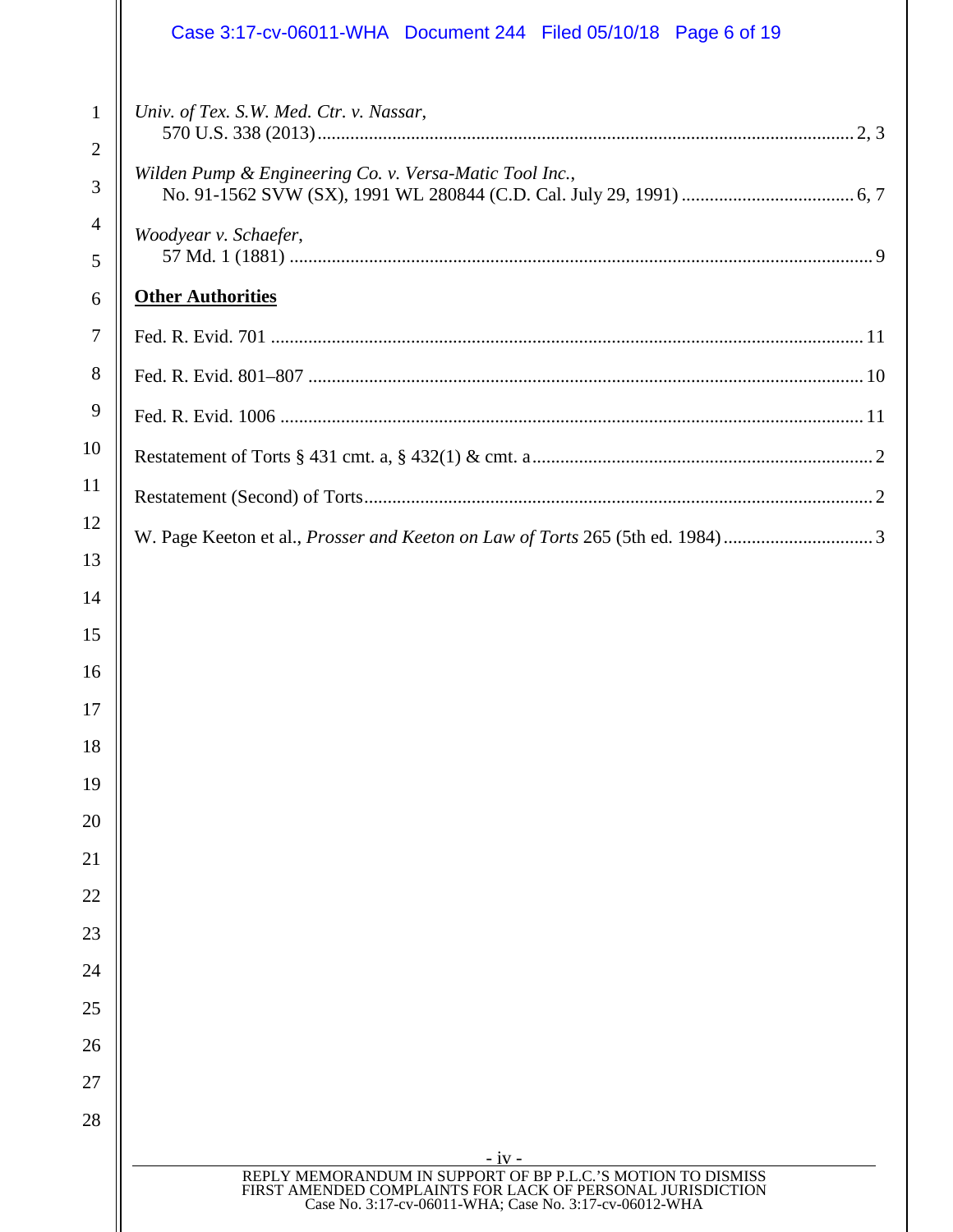|                                | Case 3:17-cv-06011-WHA  Document 244  Filed 05/10/18  Page 6 of 19                                                                                                                   |  |  |  |
|--------------------------------|--------------------------------------------------------------------------------------------------------------------------------------------------------------------------------------|--|--|--|
| $\mathbf{1}$<br>$\overline{2}$ | Univ. of Tex. S.W. Med. Ctr. v. Nassar,                                                                                                                                              |  |  |  |
| 3                              | Wilden Pump & Engineering Co. v. Versa-Matic Tool Inc.,                                                                                                                              |  |  |  |
| $\overline{4}$                 | Woodyear v. Schaefer,                                                                                                                                                                |  |  |  |
| 5                              |                                                                                                                                                                                      |  |  |  |
| 6                              | <b>Other Authorities</b>                                                                                                                                                             |  |  |  |
| 7                              |                                                                                                                                                                                      |  |  |  |
| 8                              |                                                                                                                                                                                      |  |  |  |
| 9                              |                                                                                                                                                                                      |  |  |  |
| 10                             |                                                                                                                                                                                      |  |  |  |
| 11                             |                                                                                                                                                                                      |  |  |  |
| 12                             |                                                                                                                                                                                      |  |  |  |
| 13                             |                                                                                                                                                                                      |  |  |  |
| 14                             |                                                                                                                                                                                      |  |  |  |
| 15                             |                                                                                                                                                                                      |  |  |  |
| 16                             |                                                                                                                                                                                      |  |  |  |
| 17                             |                                                                                                                                                                                      |  |  |  |
| 18                             |                                                                                                                                                                                      |  |  |  |
| 19                             |                                                                                                                                                                                      |  |  |  |
| 20                             |                                                                                                                                                                                      |  |  |  |
| 21<br>22                       |                                                                                                                                                                                      |  |  |  |
| 23                             |                                                                                                                                                                                      |  |  |  |
| 24                             |                                                                                                                                                                                      |  |  |  |
| 25                             |                                                                                                                                                                                      |  |  |  |
| 26                             |                                                                                                                                                                                      |  |  |  |
| 27                             |                                                                                                                                                                                      |  |  |  |
| 28                             |                                                                                                                                                                                      |  |  |  |
|                                | $-iv -$                                                                                                                                                                              |  |  |  |
|                                | REPLY MEMORANDUM IN SUPPORT OF BP P.L.C.'S MOTION TO DISMISS<br>FIRST AMENDED COMPLAINTS FOR LACK OF PERSONAL JURISDICTION<br>Case No. 3:17-cv-06011-WHA; Case No. 3:17-cv-06012-WHA |  |  |  |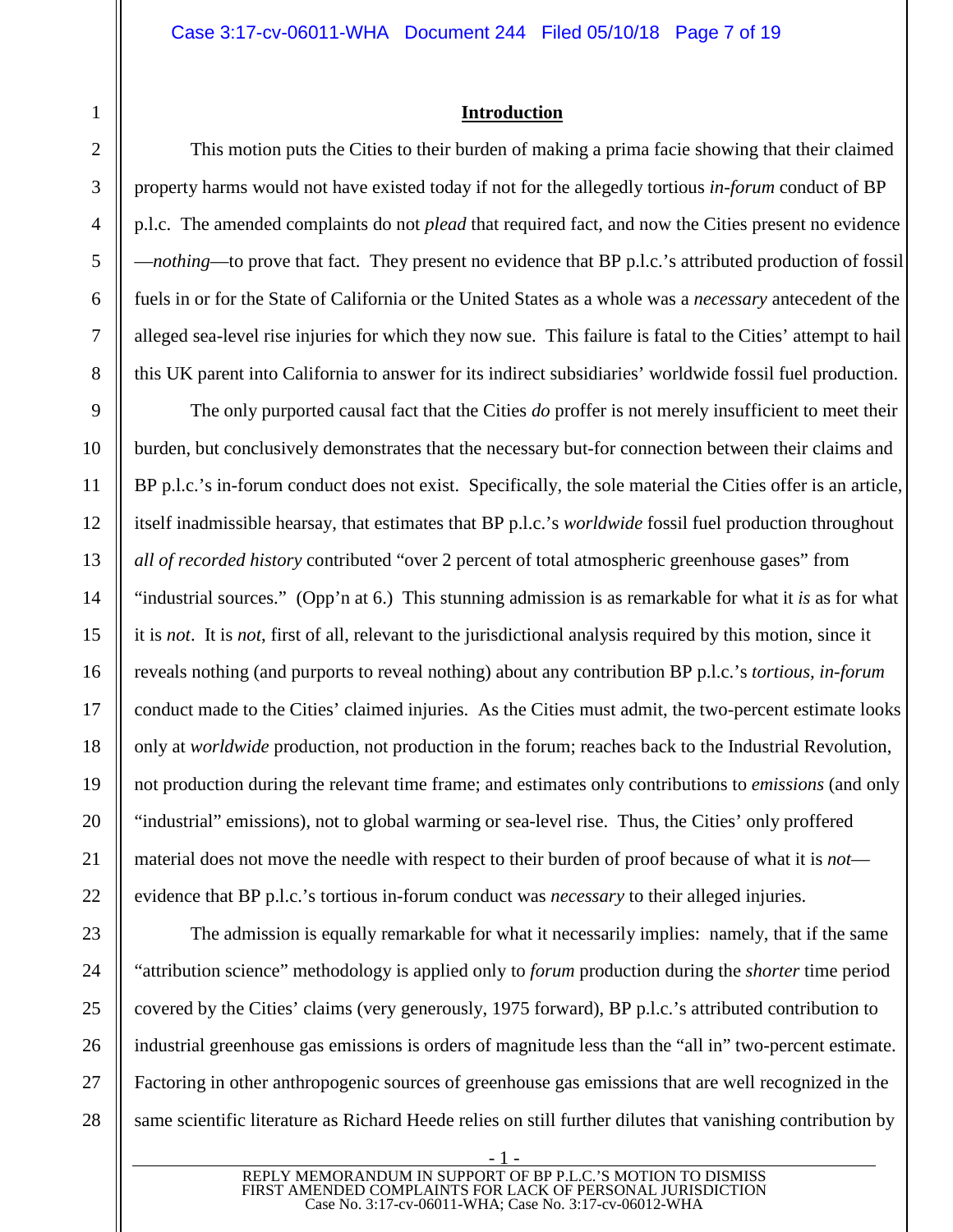# <span id="page-6-0"></span>**Introduction**

This motion puts the Cities to their burden of making a prima facie showing that their claimed property harms would not have existed today if not for the allegedly tortious *in-forum* conduct of BP p.l.c. The amended complaints do not *plead* that required fact, and now the Cities present no evidence —*nothing*—to prove that fact. They present no evidence that BP p.l.c.'s attributed production of fossil fuels in or for the State of California or the United States as a whole was a *necessary* antecedent of the alleged sea-level rise injuries for which they now sue. This failure is fatal to the Cities' attempt to hail this UK parent into California to answer for its indirect subsidiaries' worldwide fossil fuel production.

The only purported causal fact that the Cities *do* proffer is not merely insufficient to meet their burden, but conclusively demonstrates that the necessary but-for connection between their claims and BP p.l.c.'s in-forum conduct does not exist. Specifically, the sole material the Cities offer is an article, itself inadmissible hearsay, that estimates that BP p.l.c.'s *worldwide* fossil fuel production throughout *all of recorded history* contributed "over 2 percent of total atmospheric greenhouse gases" from "industrial sources." (Opp'n at 6.) This stunning admission is as remarkable for what it *is* as for what it is *not*. It is *not*, first of all, relevant to the jurisdictional analysis required by this motion, since it reveals nothing (and purports to reveal nothing) about any contribution BP p.l.c.'s *tortious, in-forum* conduct made to the Cities' claimed injuries. As the Cities must admit, the two-percent estimate looks only at *worldwide* production, not production in the forum; reaches back to the Industrial Revolution, not production during the relevant time frame; and estimates only contributions to *emissions* (and only "industrial" emissions), not to global warming or sea-level rise. Thus, the Cities' only proffered material does not move the needle with respect to their burden of proof because of what it is *not* evidence that BP p.l.c.'s tortious in-forum conduct was *necessary* to their alleged injuries.

The admission is equally remarkable for what it necessarily implies: namely, that if the same "attribution science" methodology is applied only to *forum* production during the *shorter* time period covered by the Cities' claims (very generously, 1975 forward), BP p.l.c.'s attributed contribution to industrial greenhouse gas emissions is orders of magnitude less than the "all in" two-percent estimate. Factoring in other anthropogenic sources of greenhouse gas emissions that are well recognized in the same scientific literature as Richard Heede relies on still further dilutes that vanishing contribution by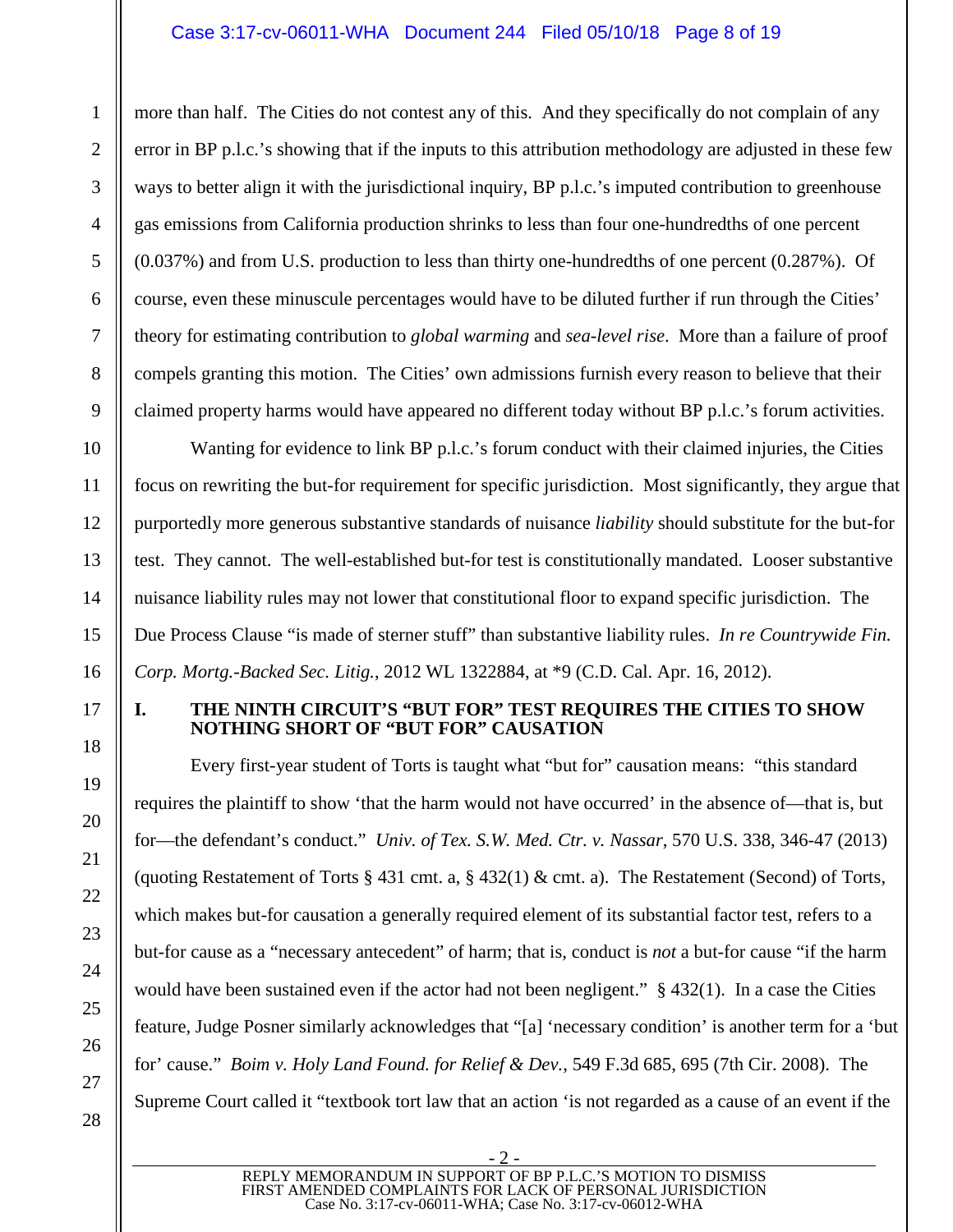## Case 3:17-cv-06011-WHA Document 244 Filed 05/10/18 Page 8 of 19

more than half. The Cities do not contest any of this. And they specifically do not complain of any error in BP p.l.c.'s showing that if the inputs to this attribution methodology are adjusted in these few ways to better align it with the jurisdictional inquiry, BP p.l.c.'s imputed contribution to greenhouse gas emissions from California production shrinks to less than four one-hundredths of one percent (0.037%) and from U.S. production to less than thirty one-hundredths of one percent (0.287%). Of course, even these minuscule percentages would have to be diluted further if run through the Cities' theory for estimating contribution to *global warming* and *sea-level rise*. More than a failure of proof compels granting this motion. The Cities' own admissions furnish every reason to believe that their claimed property harms would have appeared no different today without BP p.l.c.'s forum activities.

Wanting for evidence to link BP p.l.c.'s forum conduct with their claimed injuries, the Cities focus on rewriting the but-for requirement for specific jurisdiction. Most significantly, they argue that purportedly more generous substantive standards of nuisance *liability* should substitute for the but-for test. They cannot. The well-established but-for test is constitutionally mandated. Looser substantive nuisance liability rules may not lower that constitutional floor to expand specific jurisdiction. The Due Process Clause "is made of sterner stuff" than substantive liability rules. *In re Countrywide Fin. Corp. Mortg.-Backed Sec. Litig.*, 2012 WL 1322884, at \*9 (C.D. Cal. Apr. 16, 2012).

# <span id="page-7-2"></span><span id="page-7-0"></span>**I. THE NINTH CIRCUIT'S "BUT FOR" TEST REQUIRES THE CITIES TO SHOW NOTHING SHORT OF "BUT FOR" CAUSATION**

<span id="page-7-4"></span><span id="page-7-3"></span>Every first-year student of Torts is taught what "but for" causation means: "this standard requires the plaintiff to show 'that the harm would not have occurred' in the absence of—that is, but for—the defendant's conduct." *Univ. of Tex. S.W. Med. Ctr. v. Nassar*, 570 U.S. 338, 346-47 (2013) (quoting Restatement of Torts § 431 cmt. a, § 432(1) & cmt. a). The Restatement (Second) of Torts, which makes but-for causation a generally required element of its substantial factor test, refers to a but-for cause as a "necessary antecedent" of harm; that is, conduct is *not* a but-for cause "if the harm would have been sustained even if the actor had not been negligent." § 432(1). In a case the Cities feature, Judge Posner similarly acknowledges that "[a] 'necessary condition' is another term for a 'but for' cause." *Boim v. Holy Land Found. for Relief & Dev.*, 549 F.3d 685, 695 (7th Cir. 2008). The Supreme Court called it "textbook tort law that an action 'is not regarded as a cause of an event if the

1

<span id="page-7-5"></span><span id="page-7-1"></span>- 2 - REPLY MEMORANDUM IN SUPPORT OF BP P.L.C.'S MOTION TO DISMISS FIRST AMENDED COMPLAINTS FOR LACK OF PERSONAL JURISDICTION Case No. 3:17-cv-06011-WHA; Case No. 3:17-cv-06012-WHA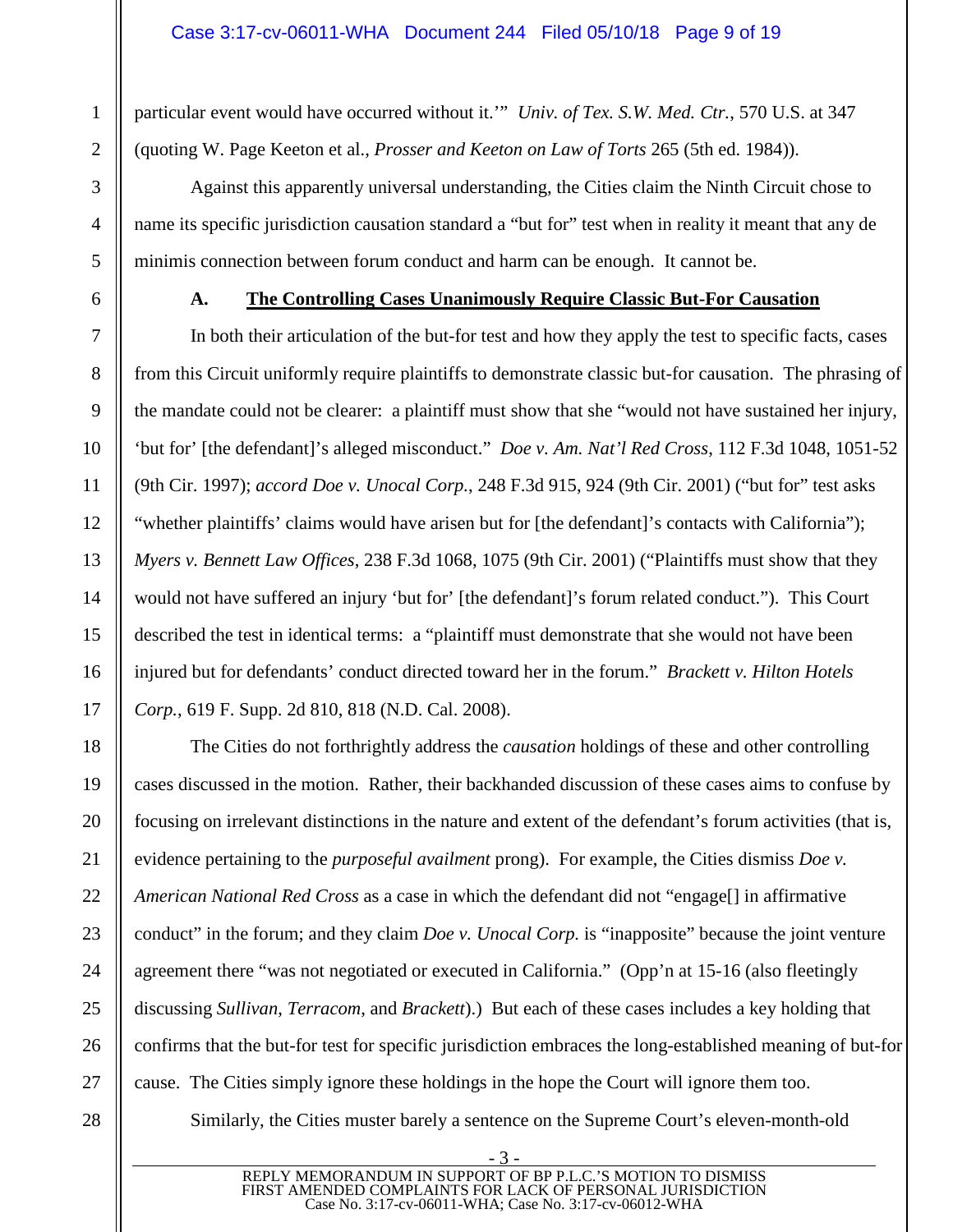<span id="page-8-7"></span>particular event would have occurred without it.'" *Univ. of Tex. S.W. Med. Ctr.*, 570 U.S. at 347 (quoting W. Page Keeton et al., *Prosser and Keeton on Law of Torts* 265 (5th ed. 1984)).

Against this apparently universal understanding, the Cities claim the Ninth Circuit chose to name its specific jurisdiction causation standard a "but for" test when in reality it meant that any de minimis connection between forum conduct and harm can be enough. It cannot be.

1

2

3

4

5

6

7

8

9

10

11

<span id="page-8-4"></span>12

13

14

15

16

17

18

19

20

21

22

23

24

25

26

27

### <span id="page-8-6"></span><span id="page-8-3"></span><span id="page-8-2"></span><span id="page-8-0"></span>**A. The Controlling Cases Unanimously Require Classic But-For Causation**

In both their articulation of the but-for test and how they apply the test to specific facts, cases from this Circuit uniformly require plaintiffs to demonstrate classic but-for causation. The phrasing of the mandate could not be clearer: a plaintiff must show that she "would not have sustained her injury, 'but for' [the defendant]'s alleged misconduct." *Doe v. Am. Nat'l Red Cross*, 112 F.3d 1048, 1051-52 (9th Cir. 1997); *accord Doe v. Unocal Corp.*, 248 F.3d 915, 924 (9th Cir. 2001) ("but for" test asks "whether plaintiffs' claims would have arisen but for [the defendant]'s contacts with California"); *Myers v. Bennett Law Offices*, 238 F.3d 1068, 1075 (9th Cir. 2001) ("Plaintiffs must show that they would not have suffered an injury 'but for' [the defendant]'s forum related conduct."). This Court described the test in identical terms: a "plaintiff must demonstrate that she would not have been injured but for defendants' conduct directed toward her in the forum." *Brackett v. Hilton Hotels Corp.*, 619 F. Supp. 2d 810, 818 (N.D. Cal. 2008).

The Cities do not forthrightly address the *causation* holdings of these and other controlling cases discussed in the motion. Rather, their backhanded discussion of these cases aims to confuse by focusing on irrelevant distinctions in the nature and extent of the defendant's forum activities (that is, evidence pertaining to the *purposeful availment* prong). For example, the Cities dismiss *Doe v. American National Red Cross* as a case in which the defendant did not "engage[] in affirmative conduct" in the forum; and they claim *Doe v. Unocal Corp.* is "inapposite" because the joint venture agreement there "was not negotiated or executed in California." (Opp'n at 15-16 (also fleetingly discussing *Sullivan*, *Terracom*, and *Brackett*).) But each of these cases includes a key holding that confirms that the but-for test for specific jurisdiction embraces the long-established meaning of but-for cause. The Cities simply ignore these holdings in the hope the Court will ignore them too.

28

<span id="page-8-5"></span>Similarly, the Cities muster barely a sentence on the Supreme Court's eleven-month-old

<span id="page-8-1"></span>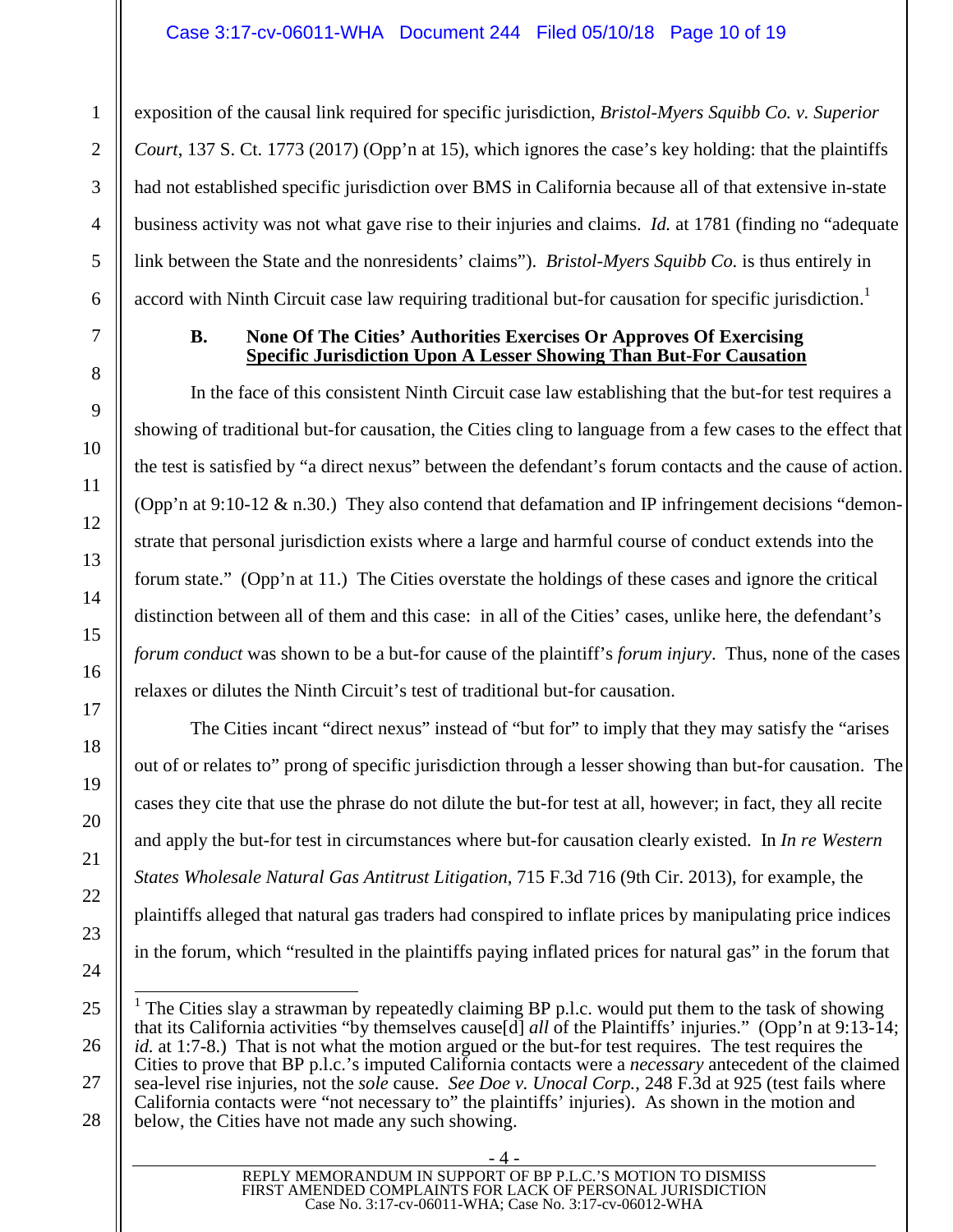<span id="page-9-1"></span>exposition of the causal link required for specific jurisdiction, *Bristol-Myers Squibb Co. v. Superior Court*, 137 S. Ct. 1773 (2017) (Opp'n at 15), which ignores the case's key holding: that the plaintiffs had not established specific jurisdiction over BMS in California because all of that extensive in-state business activity was not what gave rise to their injuries and claims. *Id.* at 1781 (finding no "adequate link between the State and the nonresidents' claims"). *Bristol-Myers Squibb Co.* is thus entirely in accord with Ninth Circuit case law requiring traditional but-for causation for specific jurisdiction.<sup>[1](#page-9-4)</sup>

#### <span id="page-9-0"></span>**B. None Of The Cities' Authorities Exercises Or Approves Of Exercising Specific Jurisdiction Upon A Lesser Showing Than But-For Causation**

In the face of this consistent Ninth Circuit case law establishing that the but-for test requires a showing of traditional but-for causation, the Cities cling to language from a few cases to the effect that the test is satisfied by "a direct nexus" between the defendant's forum contacts and the cause of action. (Opp'n at 9:10-12  $\&$  n.30.) They also contend that defamation and IP infringement decisions "demonstrate that personal jurisdiction exists where a large and harmful course of conduct extends into the forum state." (Opp'n at 11.) The Cities overstate the holdings of these cases and ignore the critical distinction between all of them and this case: in all of the Cities' cases, unlike here, the defendant's *forum conduct* was shown to be a but-for cause of the plaintiff's *forum injury*. Thus, none of the cases relaxes or dilutes the Ninth Circuit's test of traditional but-for causation.

The Cities incant "direct nexus" instead of "but for" to imply that they may satisfy the "arises out of or relates to" prong of specific jurisdiction through a lesser showing than but-for causation. The cases they cite that use the phrase do not dilute the but-for test at all, however; in fact, they all recite and apply the but-for test in circumstances where but-for causation clearly existed. In *In re Western States Wholesale Natural Gas Antitrust Litigation*, 715 F.3d 716 (9th Cir. 2013), for example, the plaintiffs alleged that natural gas traders had conspired to inflate prices by manipulating price indices in the forum, which "resulted in the plaintiffs paying inflated prices for natural gas" in the forum that

<span id="page-9-3"></span><span id="page-9-2"></span>- 4 - REPLY MEMORANDUM IN SUPPORT OF BP P.L.C.'S MOTION TO DISMISS FIRST AMENDED COMPLAINTS FOR LACK OF PERSONAL JURISDICTION Case No. 3:17-cv-06011-WHA; Case No. 3:17-cv-06012-WHA

<span id="page-9-4"></span><sup>&</sup>lt;sup>1</sup> The Cities slay a strawman by repeatedly claiming BP p.l.c. would put them to the task of showing that its California activities "by themselves cause[d] *all* of the Plaintiffs' injuries." (Opp'n at 9:13-14; *id.* at 1:7-8.) That is not what the motion argued or the but-for test requires. The test requires the Cities to prove that BP p.l.c.'s imputed California contacts were a *necessary* antecedent of the claimed sea-level rise injuries, not the *sole* cause. *See Doe v. Unocal Corp.*, 248 F.3d at 925 (test fails where California contacts were "not necessary to" the plaintiffs' injuries). As shown in the motion and below, the Cities have not made any such showing.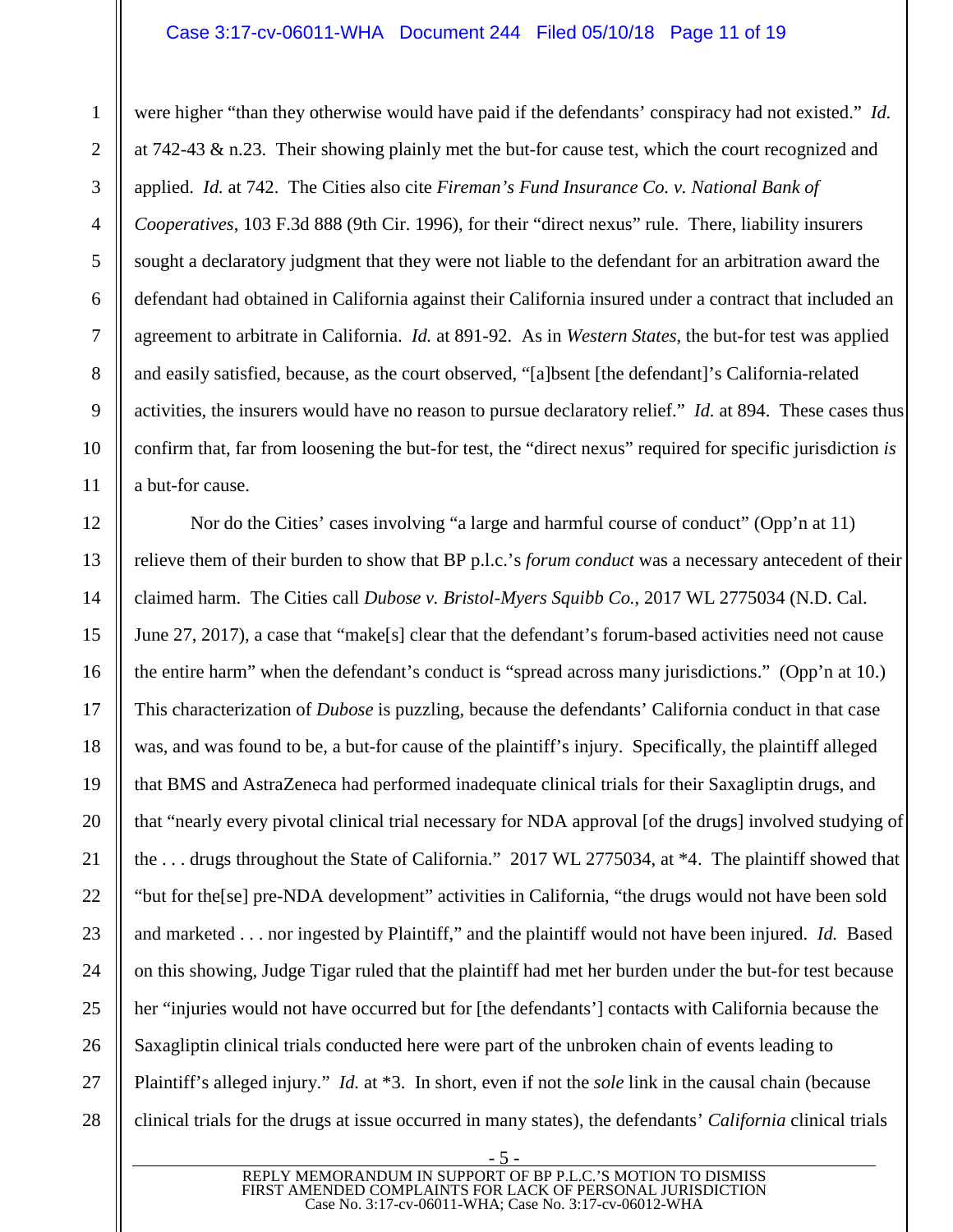#### <span id="page-10-2"></span><span id="page-10-1"></span>Case 3:17-cv-06011-WHA Document 244 Filed 05/10/18 Page 11 of 19

1

 $\mathfrak{D}$ 

3

4

5

6

7

8

9

10

11

12

13

14

15

16

17

18

19

20

21

22

23

24

25

26

27

28

were higher "than they otherwise would have paid if the defendants' conspiracy had not existed." *Id.* at 742-43  $\&$  n.23. Their showing plainly met the but-for cause test, which the court recognized and applied. *Id.* at 742. The Cities also cite *Fireman's Fund Insurance Co. v. National Bank of Cooperatives*, 103 F.3d 888 (9th Cir. 1996), for their "direct nexus" rule. There, liability insurers sought a declaratory judgment that they were not liable to the defendant for an arbitration award the defendant had obtained in California against their California insured under a contract that included an agreement to arbitrate in California. *Id.* at 891-92. As in *Western States*, the but-for test was applied and easily satisfied, because, as the court observed, "[a]bsent [the defendant]'s California-related activities, the insurers would have no reason to pursue declaratory relief." *Id.* at 894. These cases thus confirm that, far from loosening the but-for test, the "direct nexus" required for specific jurisdiction *is* a but-for cause.

<span id="page-10-0"></span>Nor do the Cities' cases involving "a large and harmful course of conduct" (Opp'n at 11) relieve them of their burden to show that BP p.l.c.'s *forum conduct* was a necessary antecedent of their claimed harm. The Cities call *Dubose v. Bristol-Myers Squibb Co.*, 2017 WL 2775034 (N.D. Cal. June 27, 2017), a case that "make[s] clear that the defendant's forum-based activities need not cause the entire harm" when the defendant's conduct is "spread across many jurisdictions." (Opp'n at 10.) This characterization of *Dubose* is puzzling, because the defendants' California conduct in that case was, and was found to be, a but-for cause of the plaintiff's injury. Specifically, the plaintiff alleged that BMS and AstraZeneca had performed inadequate clinical trials for their Saxagliptin drugs, and that "nearly every pivotal clinical trial necessary for NDA approval [of the drugs] involved studying of the . . . drugs throughout the State of California." 2017 WL 2775034, at \*4. The plaintiff showed that "but for the[se] pre-NDA development" activities in California, "the drugs would not have been sold and marketed . . . nor ingested by Plaintiff," and the plaintiff would not have been injured. *Id.* Based on this showing, Judge Tigar ruled that the plaintiff had met her burden under the but-for test because her "injuries would not have occurred but for [the defendants'] contacts with California because the Saxagliptin clinical trials conducted here were part of the unbroken chain of events leading to Plaintiff's alleged injury." *Id.* at \*3. In short, even if not the *sole* link in the causal chain (because clinical trials for the drugs at issue occurred in many states), the defendants' *California* clinical trials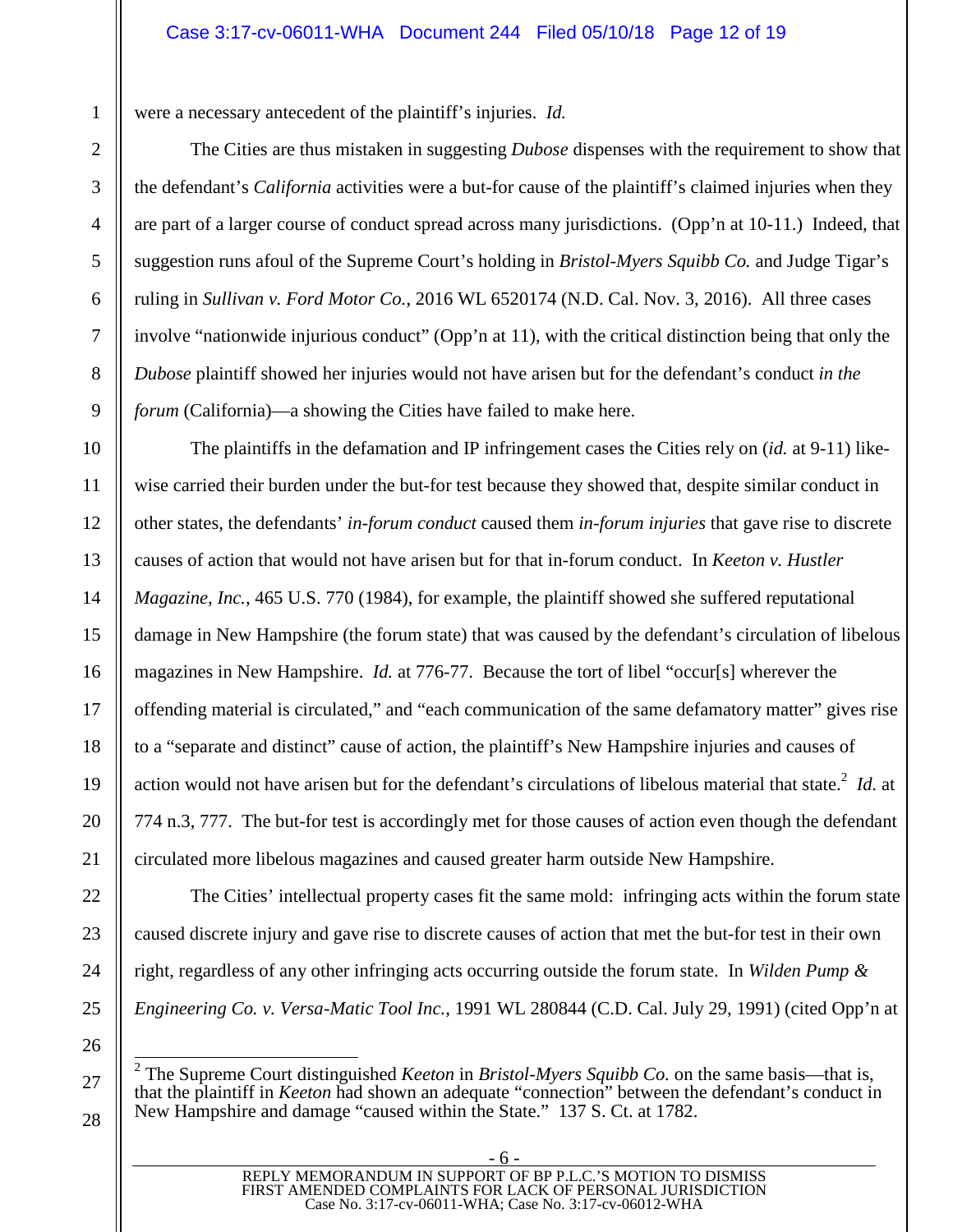were a necessary antecedent of the plaintiff's injuries. *Id.*

<span id="page-11-1"></span><span id="page-11-0"></span>The Cities are thus mistaken in suggesting *Dubose* dispenses with the requirement to show that the defendant's *California* activities were a but-for cause of the plaintiff's claimed injuries when they are part of a larger course of conduct spread across many jurisdictions. (Opp'n at 10-11.) Indeed, that suggestion runs afoul of the Supreme Court's holding in *Bristol-Myers Squibb Co.* and Judge Tigar's ruling in *Sullivan v. Ford Motor Co.*, 2016 WL 6520174 (N.D. Cal. Nov. 3, 2016). All three cases involve "nationwide injurious conduct" (Opp'n at 11), with the critical distinction being that only the *Dubose* plaintiff showed her injuries would not have arisen but for the defendant's conduct *in the forum* (California)—a showing the Cities have failed to make here.

<span id="page-11-2"></span>The plaintiffs in the defamation and IP infringement cases the Cities rely on (*id.* at 9-11) likewise carried their burden under the but-for test because they showed that, despite similar conduct in other states, the defendants' *in-forum conduct* caused them *in-forum injuries* that gave rise to discrete causes of action that would not have arisen but for that in-forum conduct. In *Keeton v. Hustler Magazine, Inc.*, 465 U.S. 770 (1984), for example, the plaintiff showed she suffered reputational damage in New Hampshire (the forum state) that was caused by the defendant's circulation of libelous magazines in New Hampshire. *Id.* at 776-77. Because the tort of libel "occur[s] wherever the offending material is circulated," and "each communication of the same defamatory matter" gives rise to a "separate and distinct" cause of action, the plaintiff's New Hampshire injuries and causes of action would not have arisen but for the defendant's circulations of libelous material that state.<sup>[2](#page-11-4)</sup> *Id.* at 774 n.3, 777. The but-for test is accordingly met for those causes of action even though the defendant circulated more libelous magazines and caused greater harm outside New Hampshire.

The Cities' intellectual property cases fit the same mold: infringing acts within the forum state caused discrete injury and gave rise to discrete causes of action that met the but-for test in their own right, regardless of any other infringing acts occurring outside the forum state. In *Wilden Pump & Engineering Co. v. Versa-Matic Tool Inc.*, 1991 WL 280844 (C.D. Cal. July 29, 1991) (cited Opp'n at

1

2

<span id="page-11-4"></span><span id="page-11-3"></span><sup>2</sup> The Supreme Court distinguished *Keeton* in *Bristol-Myers Squibb Co.* on the same basis—that is, that the plaintiff in *Keeton* had shown an adequate "connection" between the defendant's conduct in New Hampshire and damage "caused within the State." 137 S. Ct. at 1782.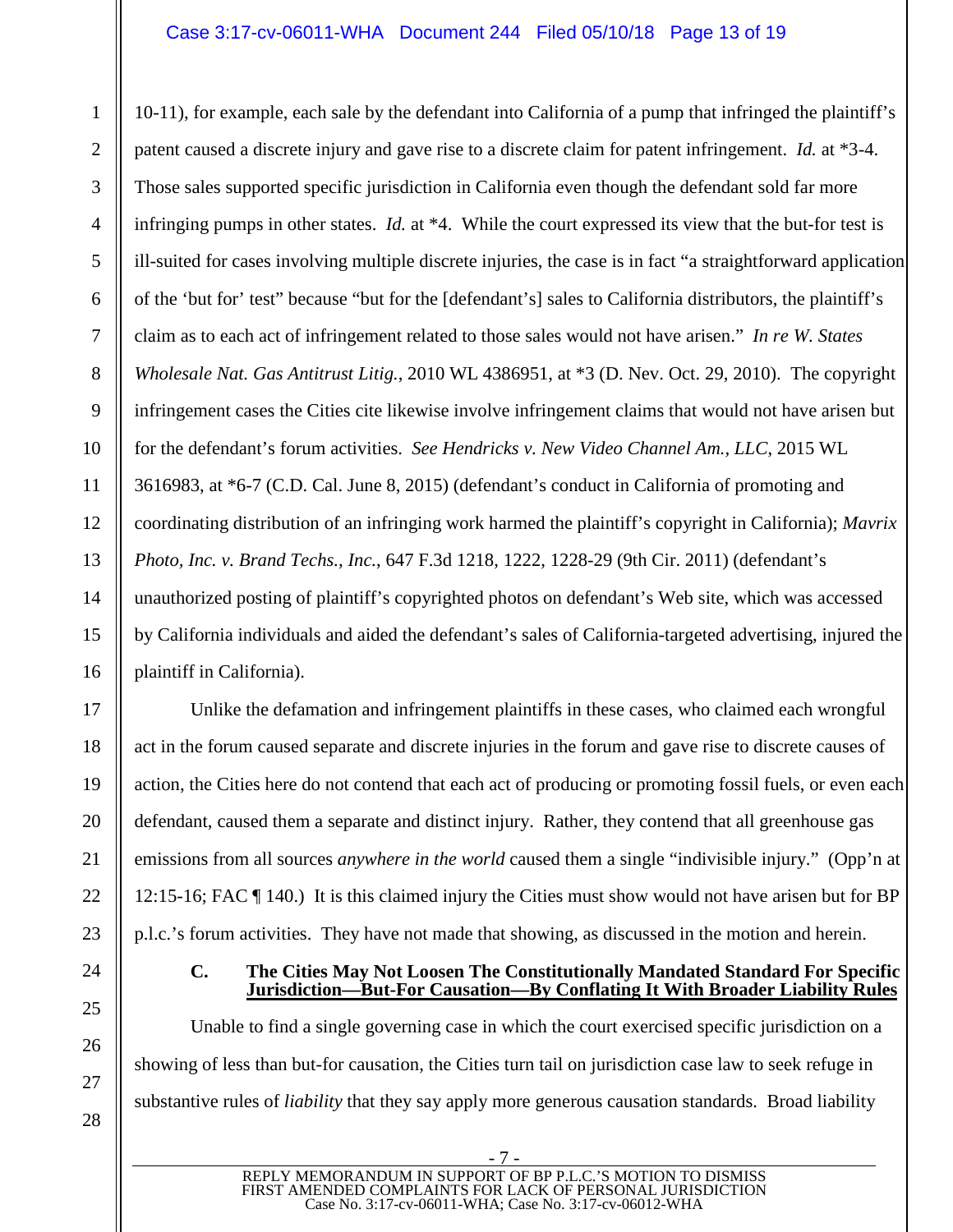<span id="page-12-4"></span>10-11), for example, each sale by the defendant into California of a pump that infringed the plaintiff's patent caused a discrete injury and gave rise to a discrete claim for patent infringement. *Id.* at \*3-4. Those sales supported specific jurisdiction in California even though the defendant sold far more infringing pumps in other states. *Id.* at \*4. While the court expressed its view that the but-for test is ill-suited for cases involving multiple discrete injuries, the case is in fact "a straightforward application of the 'but for' test" because "but for the [defendant's] sales to California distributors, the plaintiff's claim as to each act of infringement related to those sales would not have arisen." *In re W. States Wholesale Nat. Gas Antitrust Litig.*, 2010 WL 4386951, at \*3 (D. Nev. Oct. 29, 2010). The copyright infringement cases the Cities cite likewise involve infringement claims that would not have arisen but for the defendant's forum activities. *See Hendricks v. New Video Channel Am., LLC*, 2015 WL 3616983, at \*6-7 (C.D. Cal. June 8, 2015) (defendant's conduct in California of promoting and coordinating distribution of an infringing work harmed the plaintiff's copyright in California); *Mavrix Photo, Inc. v. Brand Techs., Inc.*, 647 F.3d 1218, 1222, 1228-29 (9th Cir. 2011) (defendant's unauthorized posting of plaintiff's copyrighted photos on defendant's Web site, which was accessed by California individuals and aided the defendant's sales of California-targeted advertising, injured the plaintiff in California).

<span id="page-12-3"></span>Unlike the defamation and infringement plaintiffs in these cases, who claimed each wrongful act in the forum caused separate and discrete injuries in the forum and gave rise to discrete causes of action, the Cities here do not contend that each act of producing or promoting fossil fuels, or even each defendant, caused them a separate and distinct injury. Rather, they contend that all greenhouse gas emissions from all sources *anywhere in the world* caused them a single "indivisible injury." (Opp'n at 12:15-16; FAC ¶ 140.) It is this claimed injury the Cities must show would not have arisen but for BP p.l.c.'s forum activities. They have not made that showing, as discussed in the motion and herein.

1

2

3

4

5

<span id="page-12-2"></span>6

7

8

<span id="page-12-1"></span>9

10

11

12

13

14

15

16

17

18

19

20

21

22

23

24

25

26

27

28

#### <span id="page-12-0"></span>**C. The Cities May Not Loosen The Constitutionally Mandated Standard For Specific Jurisdiction—But-For Causation—By Conflating It With Broader Liability Rules**

Unable to find a single governing case in which the court exercised specific jurisdiction on a showing of less than but-for causation, the Cities turn tail on jurisdiction case law to seek refuge in substantive rules of *liability* that they say apply more generous causation standards. Broad liability

> - 7 - REPLY MEMORANDUM IN SUPPORT OF BP P.L.C.'S MOTION TO DISMISS FIRST AMENDED COMPLAINTS FOR LACK OF PERSONAL JURISDICTION Case No. 3:17-cv-06011-WHA; Case No. 3:17-cv-06012-WHA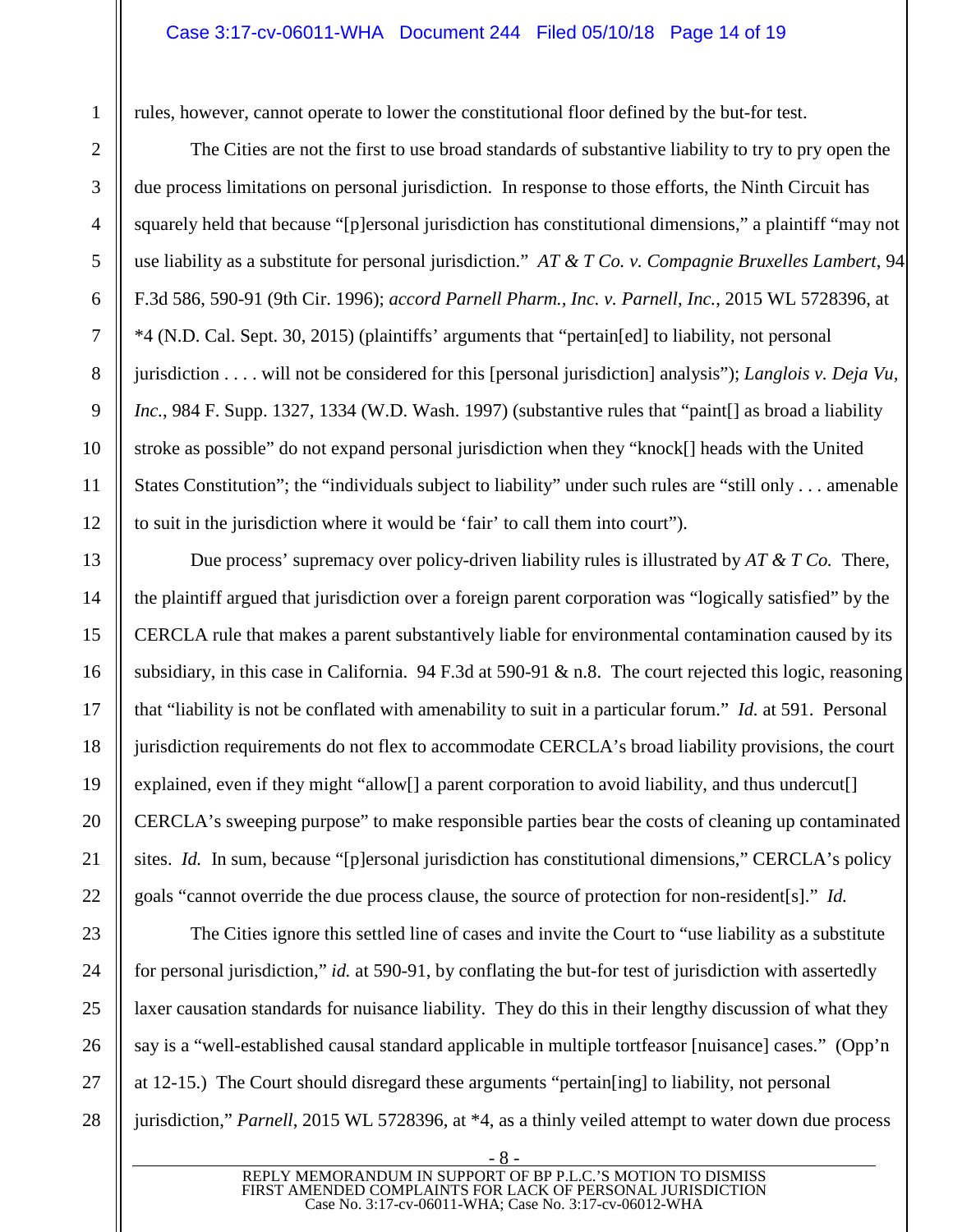#### Case 3:17-cv-06011-WHA Document 244 Filed 05/10/18 Page 14 of 19

rules, however, cannot operate to lower the constitutional floor defined by the but-for test.

<span id="page-13-2"></span><span id="page-13-1"></span><span id="page-13-0"></span>The Cities are not the first to use broad standards of substantive liability to try to pry open the due process limitations on personal jurisdiction. In response to those efforts, the Ninth Circuit has squarely held that because "[p]ersonal jurisdiction has constitutional dimensions," a plaintiff "may not use liability as a substitute for personal jurisdiction." *AT & T Co. v. Compagnie Bruxelles Lambert*, 94 F.3d 586, 590-91 (9th Cir. 1996); *accord Parnell Pharm., Inc. v. Parnell, Inc.*, 2015 WL 5728396, at \*4 (N.D. Cal. Sept. 30, 2015) (plaintiffs' arguments that "pertain[ed] to liability, not personal jurisdiction . . . . will not be considered for this [personal jurisdiction] analysis"); *Langlois v. Deja Vu, Inc.*, 984 F. Supp. 1327, 1334 (W.D. Wash. 1997) (substantive rules that "paint [] as broad a liability stroke as possible" do not expand personal jurisdiction when they "knock[] heads with the United States Constitution"; the "individuals subject to liability" under such rules are "still only . . . amenable to suit in the jurisdiction where it would be 'fair' to call them into court").

Due process' supremacy over policy-driven liability rules is illustrated by *AT & T Co.* There, the plaintiff argued that jurisdiction over a foreign parent corporation was "logically satisfied" by the CERCLA rule that makes a parent substantively liable for environmental contamination caused by its subsidiary, in this case in California. 94 F.3d at 590-91 & n.8. The court rejected this logic, reasoning that "liability is not be conflated with amenability to suit in a particular forum." *Id.* at 591. Personal jurisdiction requirements do not flex to accommodate CERCLA's broad liability provisions, the court explained, even if they might "allow<sup>[]</sup> a parent corporation to avoid liability, and thus undercut<sup>[]</sup> CERCLA's sweeping purpose" to make responsible parties bear the costs of cleaning up contaminated sites. *Id.* In sum, because "[p]ersonal jurisdiction has constitutional dimensions," CERCLA's policy goals "cannot override the due process clause, the source of protection for non-resident[s]." *Id.*

The Cities ignore this settled line of cases and invite the Court to "use liability as a substitute for personal jurisdiction," *id.* at 590-91, by conflating the but-for test of jurisdiction with assertedly laxer causation standards for nuisance liability. They do this in their lengthy discussion of what they say is a "well-established causal standard applicable in multiple tortfeasor [nuisance] cases." (Opp'n at 12-15.) The Court should disregard these arguments "pertain[ing] to liability, not personal jurisdiction," *Parnell*, 2015 WL 5728396, at \*4, as a thinly veiled attempt to water down due process

1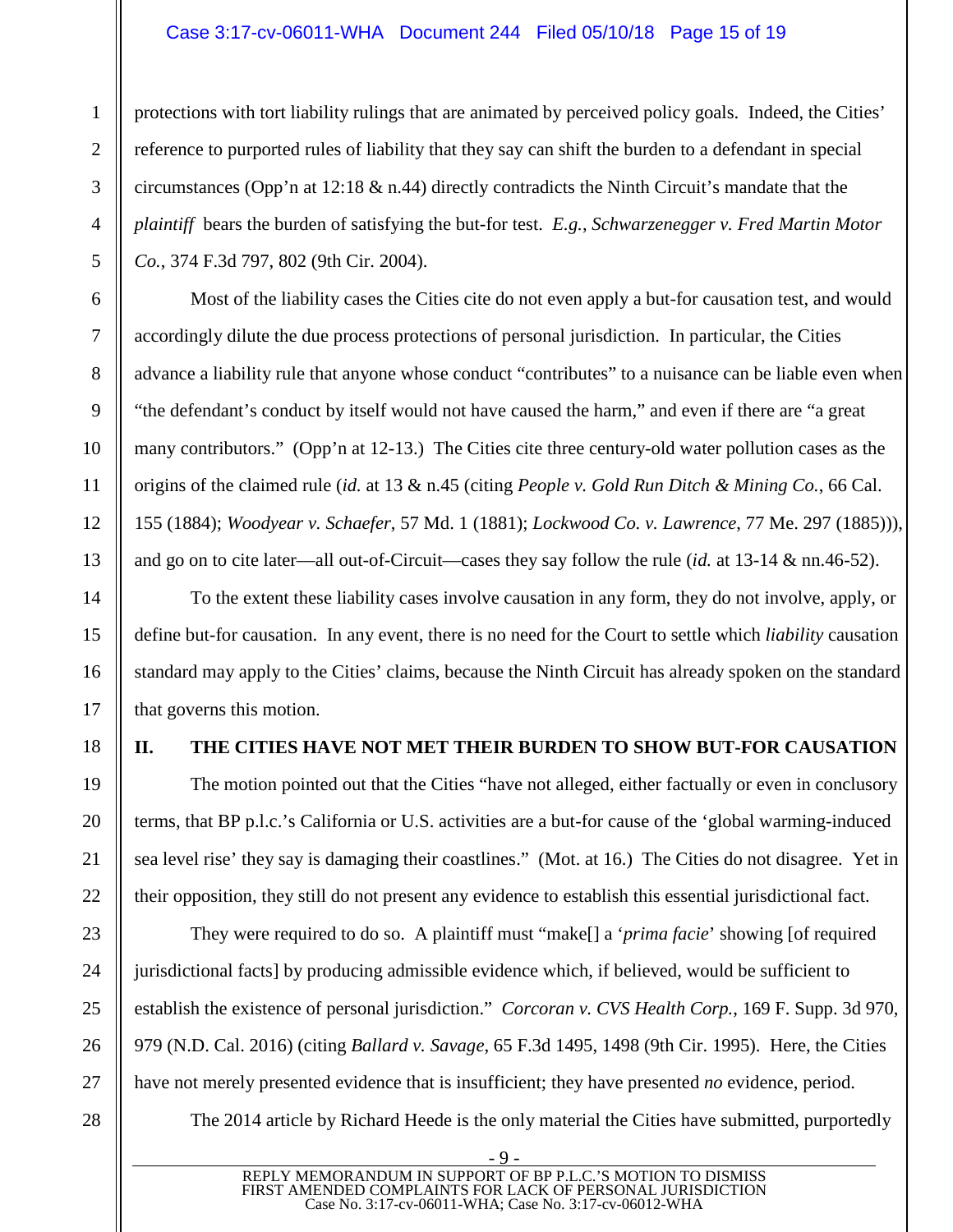### <span id="page-14-5"></span>Case 3:17-cv-06011-WHA Document 244 Filed 05/10/18 Page 15 of 19

protections with tort liability rulings that are animated by perceived policy goals. Indeed, the Cities' reference to purported rules of liability that they say can shift the burden to a defendant in special circumstances (Opp'n at 12:18 & n.44) directly contradicts the Ninth Circuit's mandate that the *plaintiff* bears the burden of satisfying the but-for test. *E.g.*, *Schwarzenegger v. Fred Martin Motor Co.*, 374 F.3d 797, 802 (9th Cir. 2004).

Most of the liability cases the Cities cite do not even apply a but-for causation test, and would accordingly dilute the due process protections of personal jurisdiction. In particular, the Cities advance a liability rule that anyone whose conduct "contributes" to a nuisance can be liable even when "the defendant's conduct by itself would not have caused the harm," and even if there are "a great many contributors." (Opp'n at 12-13.) The Cities cite three century-old water pollution cases as the origins of the claimed rule (*id.* at 13 & n.45 (citing *People v. Gold Run Ditch & Mining Co.*, 66 Cal. 155 (1884); *Woodyear v. Schaefer*, 57 Md. 1 (1881); *Lockwood Co. v. Lawrence*, 77 Me. 297 (1885))), and go on to cite later—all out-of-Circuit—cases they say follow the rule (*id.* at 13-14 & nn.46-52).

<span id="page-14-6"></span><span id="page-14-4"></span><span id="page-14-3"></span>To the extent these liability cases involve causation in any form, they do not involve, apply, or define but-for causation. In any event, there is no need for the Court to settle which *liability* causation standard may apply to the Cities' claims, because the Ninth Circuit has already spoken on the standard that governs this motion.

# <span id="page-14-0"></span>**II. THE CITIES HAVE NOT MET THEIR BURDEN TO SHOW BUT-FOR CAUSATION**

The motion pointed out that the Cities "have not alleged, either factually or even in conclusory terms, that BP p.l.c.'s California or U.S. activities are a but-for cause of the 'global warming-induced sea level rise' they say is damaging their coastlines." (Mot. at 16.) The Cities do not disagree. Yet in their opposition, they still do not present any evidence to establish this essential jurisdictional fact.

They were required to do so. A plaintiff must "make[] a '*prima facie*' showing [of required jurisdictional facts] by producing admissible evidence which, if believed, would be sufficient to establish the existence of personal jurisdiction." *Corcoran v. CVS Health Corp.*, 169 F. Supp. 3d 970, 979 (N.D. Cal. 2016) (citing *Ballard v. Savage*, 65 F.3d 1495, 1498 (9th Cir. 1995). Here, the Cities have not merely presented evidence that is insufficient; they have presented *no* evidence, period.

<span id="page-14-2"></span><span id="page-14-1"></span>The 2014 article by Richard Heede is the only material the Cities have submitted, purportedly

1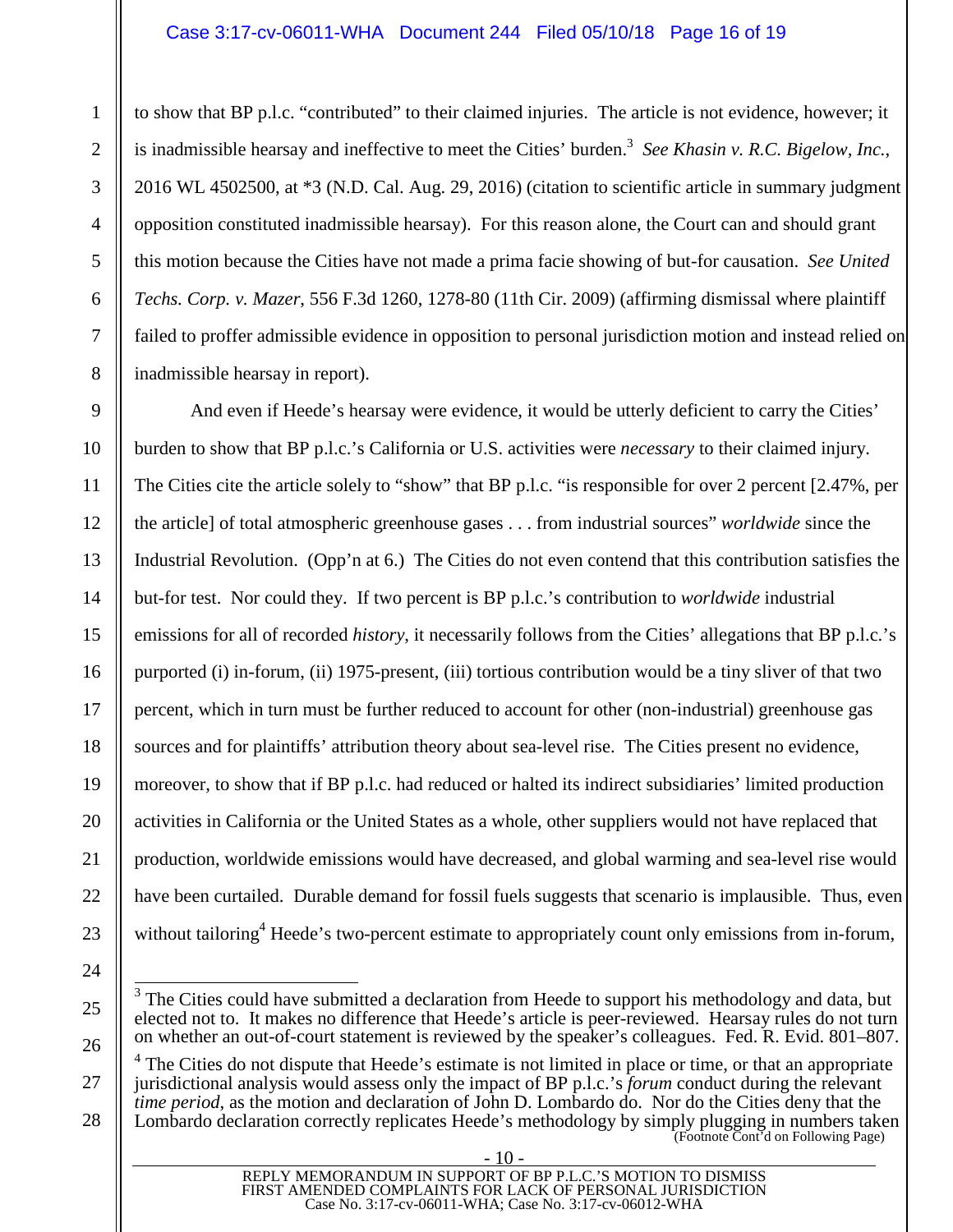### <span id="page-15-4"></span><span id="page-15-2"></span>Case 3:17-cv-06011-WHA Document 244 Filed 05/10/18 Page 16 of 19

to show that BP p.l.c. "contributed" to their claimed injuries. The article is not evidence, however; it is inadmissible hearsay and ineffective to meet the Cities' burden.<sup>[3](#page-15-8)</sup> See Khasin v. R.C. Bigelow, Inc., 2016 WL 4502500, at \*3 (N.D. Cal. Aug. 29, 2016) (citation to scientific article in summary judgment opposition constituted inadmissible hearsay). For this reason alone, the Court can and should grant this motion because the Cities have not made a prima facie showing of but-for causation. *See United Techs. Corp. v. Mazer*, 556 F.3d 1260, 1278-80 (11th Cir. 2009) (affirming dismissal where plaintiff failed to proffer admissible evidence in opposition to personal jurisdiction motion and instead relied on inadmissible hearsay in report).

And even if Heede's hearsay were evidence, it would be utterly deficient to carry the Cities' burden to show that BP p.l.c.'s California or U.S. activities were *necessary* to their claimed injury. The Cities cite the article solely to "show" that BP p.l.c. "is responsible for over 2 percent [2.47%, per the article] of total atmospheric greenhouse gases . . . from industrial sources" *worldwide* since the Industrial Revolution. (Opp'n at 6.) The Cities do not even contend that this contribution satisfies the but-for test. Nor could they. If two percent is BP p.l.c.'s contribution to *worldwide* industrial emissions for all of recorded *history*, it necessarily follows from the Cities' allegations that BP p.l.c.'s purported (i) in-forum, (ii) 1975-present, (iii) tortious contribution would be a tiny sliver of that two percent, which in turn must be further reduced to account for other (non-industrial) greenhouse gas sources and for plaintiffs' attribution theory about sea-level rise. The Cities present no evidence, moreover, to show that if BP p.l.c. had reduced or halted its indirect subsidiaries' limited production activities in California or the United States as a whole, other suppliers would not have replaced that production, worldwide emissions would have decreased, and global warming and sea-level rise would have been curtailed. Durable demand for fossil fuels suggests that scenario is implausible. Thus, even without tailoring<sup>4</sup> [H](#page-15-9)eede's two-percent estimate to appropriately count only emissions from in-forum,

23 24

25

26

27

1

 $\mathfrak{D}$ 

3

4

5

6

7

8

9

10

11

12

13

14

15

16

17

18

19

20

21

22

28 <sup>4</sup> The Cities do not dispute that Heede's estimate is not limited in place or time, or that an appropriate jurisdictional analysis would assess only the impact of BP p.l.c.'s *forum* conduct during the relevant *time period*, as the motion and declaration of John D. Lombardo do. Nor do the Cities deny that the Lombardo declaration correctly replicates Heede's methodology by simply plugging in numbers taken (Footnote Cont'd on Following Page)

<span id="page-15-9"></span><span id="page-15-8"></span><span id="page-15-7"></span><span id="page-15-6"></span><span id="page-15-5"></span><span id="page-15-3"></span><span id="page-15-1"></span><span id="page-15-0"></span> $3$  The Cities could have submitted a declaration from Heede to support his methodology and data, but elected not to. It makes no difference that Heede's article is peer-reviewed. Hearsay rules do not turn on whether an out-of-court statement is reviewed by the speaker's colleagues. Fed. R. Evid. 801–807.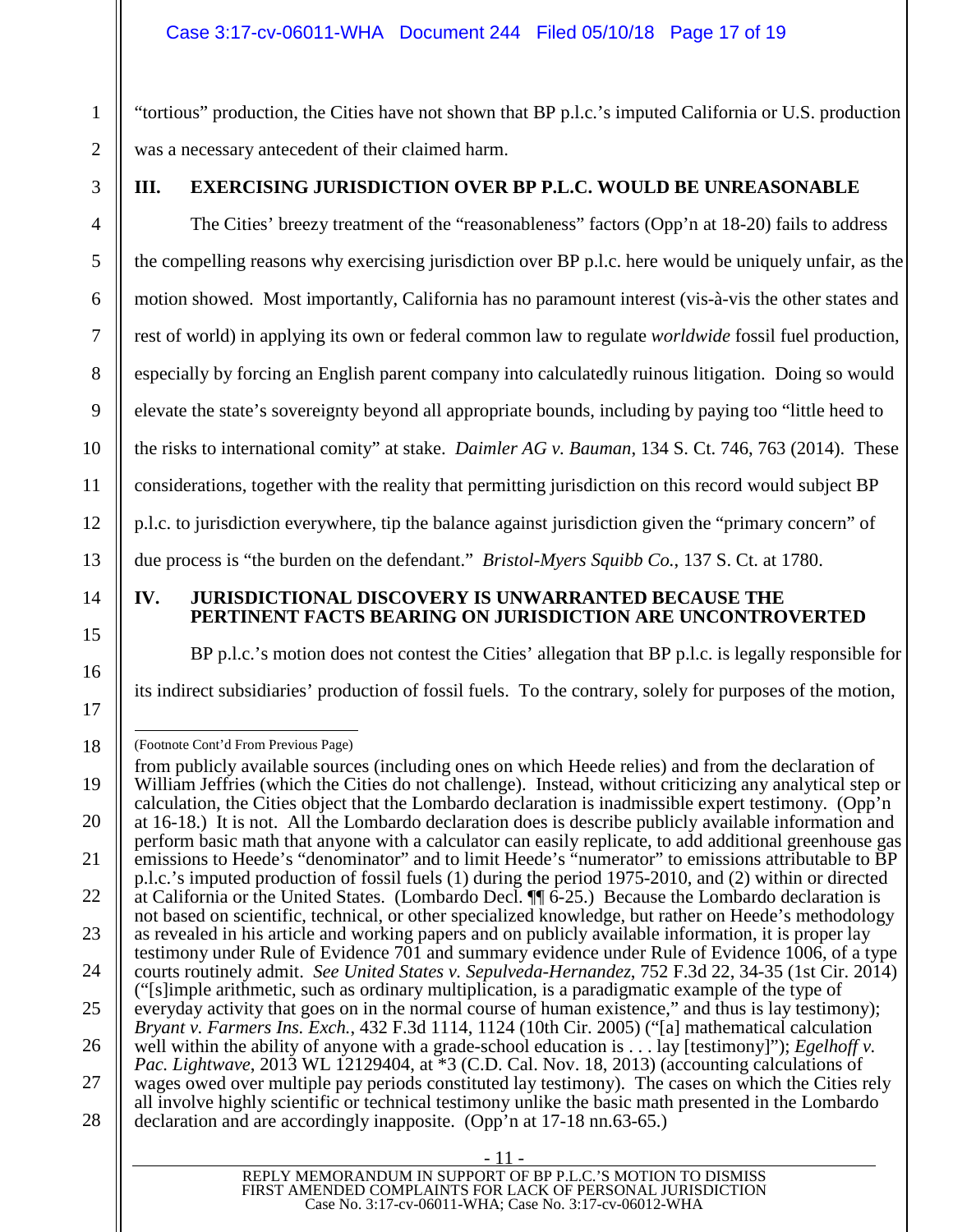"tortious" production, the Cities have not shown that BP p.l.c.'s imputed California or U.S. production was a necessary antecedent of their claimed harm.

1

 $\mathfrak{D}$ 

3

4

5

6

7

8

9

10

11

12

13

14

15

16

17

# <span id="page-16-0"></span>**III. EXERCISING JURISDICTION OVER BP P.L.C. WOULD BE UNREASONABLE**

The Cities' breezy treatment of the "reasonableness" factors (Opp'n at 18-20) fails to address the compelling reasons why exercising jurisdiction over BP p.l.c. here would be uniquely unfair, as the motion showed. Most importantly, California has no paramount interest (vis-à-vis the other states and rest of world) in applying its own or federal common law to regulate *worldwide* fossil fuel production, especially by forcing an English parent company into calculatedly ruinous litigation. Doing so would elevate the state's sovereignty beyond all appropriate bounds, including by paying too "little heed to the risks to international comity" at stake. *Daimler AG v. Bauman*, 134 S. Ct. 746, 763 (2014). These considerations, together with the reality that permitting jurisdiction on this record would subject BP p.l.c. to jurisdiction everywhere, tip the balance against jurisdiction given the "primary concern" of due process is "the burden on the defendant." *Bristol-Myers Squibb Co.*, 137 S. Ct. at 1780.

#### <span id="page-16-3"></span><span id="page-16-2"></span><span id="page-16-1"></span>**IV. JURISDICTIONAL DISCOVERY IS UNWARRANTED BECAUSE THE PERTINENT FACTS BEARING ON JURISDICTION ARE UNCONTROVERTED**

BP p.l.c.'s motion does not contest the Cities' allegation that BP p.l.c. is legally responsible for its indirect subsidiaries' production of fossil fuels. To the contrary, solely for purposes of the motion,

<sup>18</sup>  (Footnote Cont'd From Previous Page)

<sup>19</sup>  20 21 22 23 24 25 26 27 28 - 11 - REPLY MEMORANDUM IN SUPPORT OF BP P.L.C.'S MOTION TO DISMISS from publicly available sources (including ones on which Heede relies) and from the declaration of William Jeffries (which the Cities do not challenge). Instead, without criticizing any analytical step or calculation, the Cities object that the Lombardo declaration is inadmissible expert testimony. (Opp'n at 16-18.) It is not. All the Lombardo declaration does is describe publicly available information and perform basic math that anyone with a calculator can easily replicate, to add additional greenhouse gas emissions to Heede's "denominator" and to limit Heede's "numerator" to emissions attributable to BP p.l.c.'s imputed production of fossil fuels (1) during the period 1975-2010, and (2) within or directed at California or the United States. (Lombardo Decl. ¶¶ 6-25.) Because the Lombardo declaration is not based on scientific, technical, or other specialized knowledge, but rather on Heede's methodology as revealed in his article and working papers and on publicly available information, it is proper lay testimony under Rule of Evidence 701 and summary evidence under Rule of Evidence 1006, of a type courts routinely admit. *See United States v. Sepulveda-Hernandez*, 752 F.3d 22, 34-35 (1st Cir. 2014) ("[s]imple arithmetic, such as ordinary multiplication, is a paradigmatic example of the type of everyday activity that goes on in the normal course of human existence," and thus is lay testimony); *Bryant v. Farmers Ins. Exch.*, 432 F.3d 1114, 1124 (10th Cir. 2005) ("[a] mathematical calculation well within the ability of anyone with a grade-school education is . . . lay [testimony]"); *Egelhoff v. Pac. Lightwave*, 2013 WL 12129404, at \*3 (C.D. Cal. Nov. 18, 2013) (accounting calculations of wages owed over multiple pay periods constituted lay testimony). The cases on which the Cities rely all involve highly scientific or technical testimony unlike the basic math presented in the Lombardo declaration and are accordingly inapposite. (Opp'n at 17-18 nn.63-65.)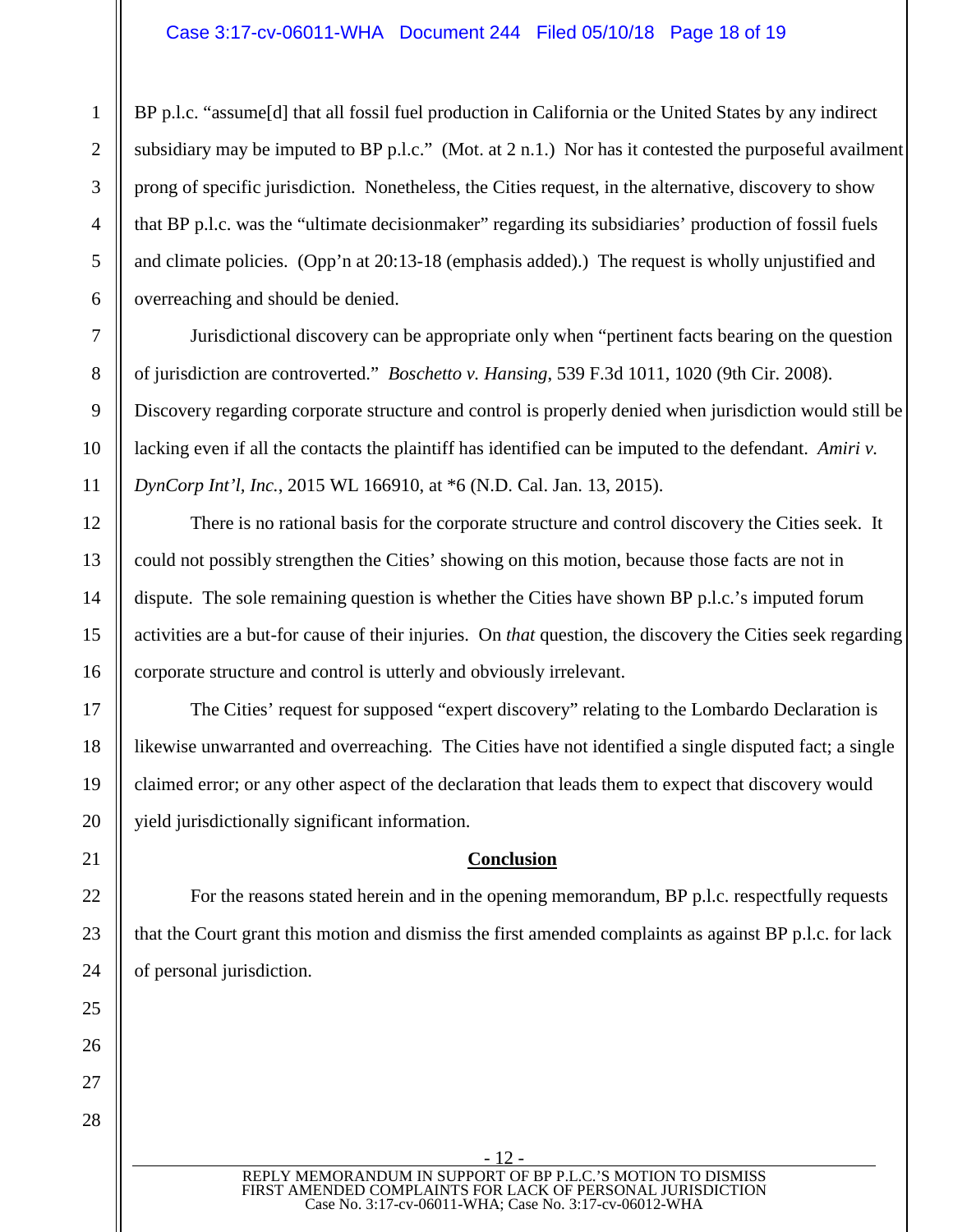## Case 3:17-cv-06011-WHA Document 244 Filed 05/10/18 Page 18 of 19

BP p.l.c. "assume [d] that all fossil fuel production in California or the United States by any indirect subsidiary may be imputed to BP p.l.c." (Mot. at 2 n.1.) Nor has it contested the purposeful availment prong of specific jurisdiction. Nonetheless, the Cities request, in the alternative, discovery to show that BP p.l.c. was the "ultimate decisionmaker" regarding its subsidiaries' production of fossil fuels and climate policies. (Opp'n at 20:13-18 (emphasis added).) The request is wholly unjustified and overreaching and should be denied.

Jurisdictional discovery can be appropriate only when "pertinent facts bearing on the question of jurisdiction are controverted." *Boschetto v. Hansing*, 539 F.3d 1011, 1020 (9th Cir. 2008). Discovery regarding corporate structure and control is properly denied when jurisdiction would still be lacking even if all the contacts the plaintiff has identified can be imputed to the defendant. *Amiri v. DynCorp Int'l, Inc.*, 2015 WL 166910, at \*6 (N.D. Cal. Jan. 13, 2015).

There is no rational basis for the corporate structure and control discovery the Cities seek. It could not possibly strengthen the Cities' showing on this motion, because those facts are not in dispute. The sole remaining question is whether the Cities have shown BP p.l.c.'s imputed forum activities are a but-for cause of their injuries. On *that* question, the discovery the Cities seek regarding corporate structure and control is utterly and obviously irrelevant.

The Cities' request for supposed "expert discovery" relating to the Lombardo Declaration is likewise unwarranted and overreaching. The Cities have not identified a single disputed fact; a single claimed error; or any other aspect of the declaration that leads them to expect that discovery would yield jurisdictionally significant information.

### <span id="page-17-1"></span><span id="page-17-0"></span>**Conclusion**

For the reasons stated herein and in the opening memorandum, BP p.l.c. respectfully requests that the Court grant this motion and dismiss the first amended complaints as against BP p.l.c. for lack of personal jurisdiction.